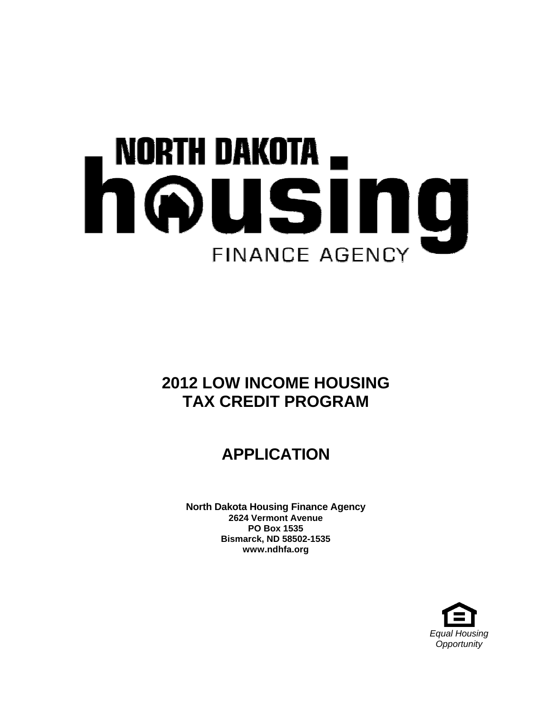# NORTH DAKOTA  $_{\blacksquare}$ housin unuin . **FINANCE AGENCY**

# **2012 LOW INCOME HOUSING TAX CREDIT PROGRAM**

# **APPLICATION**

**North Dakota Housing Finance Agency 2624 Vermont Avenue PO Box 1535 Bismarck, ND 58502-1535 www.ndhfa.org** 

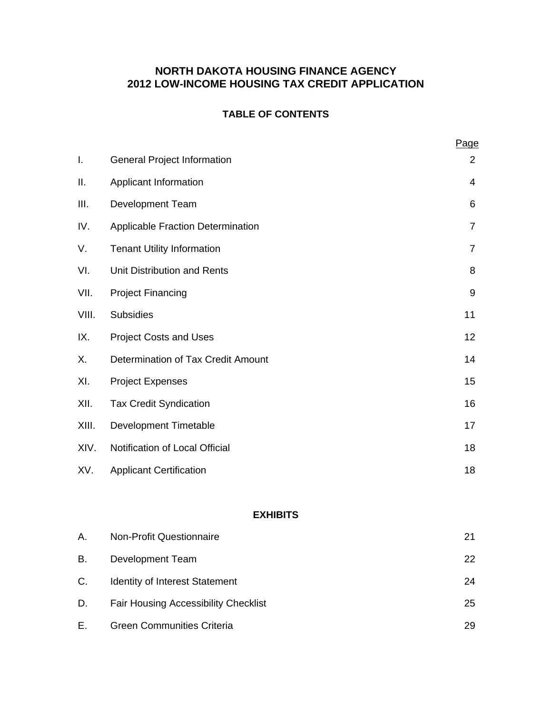## **NORTH DAKOTA HOUSING FINANCE AGENCY 2012 LOW-INCOME HOUSING TAX CREDIT APPLICATION**

### **TABLE OF CONTENTS**

|       |                                    | Page                     |
|-------|------------------------------------|--------------------------|
| I.    | <b>General Project Information</b> | 2                        |
| ΙΙ.   | Applicant Information              | $\overline{\mathcal{A}}$ |
| Ш.    | <b>Development Team</b>            | 6                        |
| IV.   | Applicable Fraction Determination  | $\overline{7}$           |
| V.    | <b>Tenant Utility Information</b>  | $\overline{7}$           |
| VI.   | Unit Distribution and Rents        | 8                        |
| VII.  | <b>Project Financing</b>           | $9\,$                    |
| VIII. | <b>Subsidies</b>                   | 11                       |
| IX.   | <b>Project Costs and Uses</b>      | 12                       |
| Х.    | Determination of Tax Credit Amount | 14                       |
| XI.   | <b>Project Expenses</b>            | 15                       |
| XII.  | <b>Tax Credit Syndication</b>      | 16                       |
| XIII. | Development Timetable              | 17                       |
| XIV.  | Notification of Local Official     | 18                       |
| XV.   | <b>Applicant Certification</b>     | 18                       |

#### **EXHIBITS**

| Α. | <b>Non-Profit Questionnaire</b>             | 21 |
|----|---------------------------------------------|----|
| В. | Development Team                            | 22 |
| C. | Identity of Interest Statement              | 24 |
| D. | <b>Fair Housing Accessibility Checklist</b> | 25 |
| Е. | <b>Green Communities Criteria</b>           | 29 |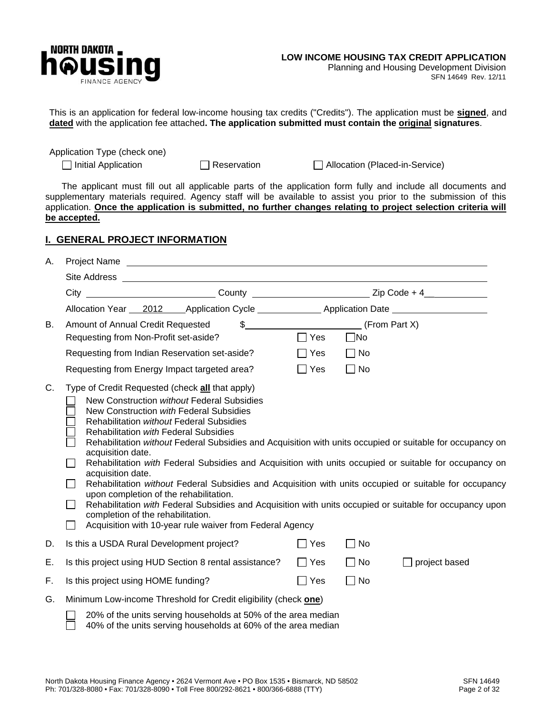

SFN 14649 Rev. 12/11

This is an application for federal low-income housing tax credits ("Credits"). The application must be **signed**, and **dated** with the application fee attached**. The application submitted must contain the original signatures**.

Application Type (check one)

Initial Application Reservation Allocation (Placed-in-Service)

The applicant must fill out all applicable parts of the application form fully and include all documents and supplementary materials required. Agency staff will be available to assist you prior to the submission of this application. **Once the application is submitted, no further changes relating to project selection criteria will be accepted.**

#### **I. GENERAL PROJECT INFORMATION**

| А. |                                                                                                                                                                                                                                                                                                                                                                                                                                                                                                                                                                                                                                                                                                                                                                                                                                                                                                                        |  |                                 |                                                                    |               |  |  |  |
|----|------------------------------------------------------------------------------------------------------------------------------------------------------------------------------------------------------------------------------------------------------------------------------------------------------------------------------------------------------------------------------------------------------------------------------------------------------------------------------------------------------------------------------------------------------------------------------------------------------------------------------------------------------------------------------------------------------------------------------------------------------------------------------------------------------------------------------------------------------------------------------------------------------------------------|--|---------------------------------|--------------------------------------------------------------------|---------------|--|--|--|
|    |                                                                                                                                                                                                                                                                                                                                                                                                                                                                                                                                                                                                                                                                                                                                                                                                                                                                                                                        |  |                                 |                                                                    |               |  |  |  |
|    | City ______________________________County _______________________________Zip Code + 4______________                                                                                                                                                                                                                                                                                                                                                                                                                                                                                                                                                                                                                                                                                                                                                                                                                    |  |                                 |                                                                    |               |  |  |  |
|    | Allocation Year 2012 Application Cycle _______________ Application Date _______________                                                                                                                                                                                                                                                                                                                                                                                                                                                                                                                                                                                                                                                                                                                                                                                                                                |  |                                 |                                                                    |               |  |  |  |
| В. | Amount of Annual Credit Requested<br>Requesting from Non-Profit set-aside?<br>Requesting from Indian Reservation set-aside?<br>Requesting from Energy Impact targeted area?                                                                                                                                                                                                                                                                                                                                                                                                                                                                                                                                                                                                                                                                                                                                            |  | $\Box$ Yes<br>$\Box$ Yes<br>Yes | $\frac{1}{2}$ (From Part X)<br>$\Box$ No<br>$\Box$ No<br>$\Box$ No |               |  |  |  |
| C. | Type of Credit Requested (check all that apply)<br>New Construction without Federal Subsidies<br>New Construction with Federal Subsidies<br><b>Rehabilitation without Federal Subsidies</b><br>Rehabilitation with Federal Subsidies<br>Rehabilitation without Federal Subsidies and Acquisition with units occupied or suitable for occupancy on<br>acquisition date.<br>Rehabilitation with Federal Subsidies and Acquisition with units occupied or suitable for occupancy on<br>$\mathbf{L}$<br>acquisition date.<br>Rehabilitation without Federal Subsidies and Acquisition with units occupied or suitable for occupancy<br>$\mathbf{L}$<br>upon completion of the rehabilitation.<br>Rehabilitation with Federal Subsidies and Acquisition with units occupied or suitable for occupancy upon<br>$\mathbf{L}$<br>completion of the rehabilitation.<br>Acquisition with 10-year rule waiver from Federal Agency |  |                                 |                                                                    |               |  |  |  |
| D. | Is this a USDA Rural Development project?                                                                                                                                                                                                                                                                                                                                                                                                                                                                                                                                                                                                                                                                                                                                                                                                                                                                              |  | $\Box$ Yes                      | $\Box$ No                                                          |               |  |  |  |
| Ε. | Is this project using HUD Section 8 rental assistance?                                                                                                                                                                                                                                                                                                                                                                                                                                                                                                                                                                                                                                                                                                                                                                                                                                                                 |  | $\Box$ Yes                      | $\Box$ No                                                          | project based |  |  |  |
| F. | Is this project using HOME funding?                                                                                                                                                                                                                                                                                                                                                                                                                                                                                                                                                                                                                                                                                                                                                                                                                                                                                    |  | $\Box$ Yes                      | $\Box$ No                                                          |               |  |  |  |
| G. | Minimum Low-income Threshold for Credit eligibility (check one)                                                                                                                                                                                                                                                                                                                                                                                                                                                                                                                                                                                                                                                                                                                                                                                                                                                        |  |                                 |                                                                    |               |  |  |  |
|    | 20% of the units serving households at 50% of the area median<br>40% of the units serving households at 60% of the area median                                                                                                                                                                                                                                                                                                                                                                                                                                                                                                                                                                                                                                                                                                                                                                                         |  |                                 |                                                                    |               |  |  |  |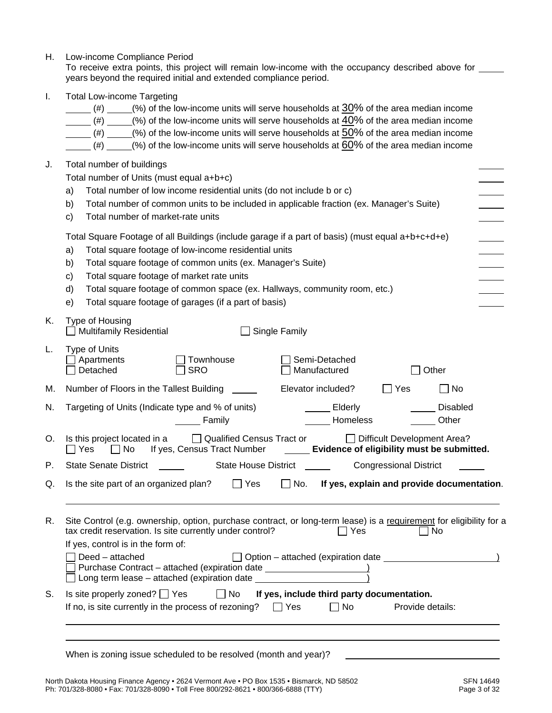| Η. | Low-income Compliance Period<br>To receive extra points, this project will remain low-income with the occupancy described above for ______<br>years beyond the required initial and extended compliance period.                                                                                                                                                                                                                                                                              |  |  |  |  |  |
|----|----------------------------------------------------------------------------------------------------------------------------------------------------------------------------------------------------------------------------------------------------------------------------------------------------------------------------------------------------------------------------------------------------------------------------------------------------------------------------------------------|--|--|--|--|--|
| Ι. | <b>Total Low-income Targeting</b><br>(%) of the low-income units will serve households at 30% of the area median income<br>(#)<br>(#) $(*)$ (%) of the low-income units will serve households at $40\%$ of the area median income<br>(#) _____(%) of the low-income units will serve households at $50\%$ of the area median income<br>$(\#)$ _____(%) of the low-income units will serve households at $60\%$ of the area median income                                                     |  |  |  |  |  |
| J. | Total number of buildings<br>Total number of Units (must equal a+b+c)<br>Total number of low income residential units (do not include b or c)<br>a)<br>Total number of common units to be included in applicable fraction (ex. Manager's Suite)<br>b)<br>Total number of market-rate units<br>$\mathbf{C}$                                                                                                                                                                                   |  |  |  |  |  |
|    | Total Square Footage of all Buildings (include garage if a part of basis) (must equal a+b+c+d+e)<br>Total square footage of low-income residential units<br>a)<br>Total square footage of common units (ex. Manager's Suite)<br>b)<br>Total square footage of market rate units<br>$\mathbf{c}$<br>d)<br>Total square footage of common space (ex. Hallways, community room, etc.)<br>Total square footage of garages (if a part of basis)<br>e)                                             |  |  |  |  |  |
| Κ. | Type of Housing<br><b>Multifamily Residential</b><br>Single Family                                                                                                                                                                                                                                                                                                                                                                                                                           |  |  |  |  |  |
| L. | <b>Type of Units</b><br>Townhouse<br>Semi-Detached<br>Apartments<br>Manufactured<br>Detached<br><b>SRO</b><br>Other                                                                                                                                                                                                                                                                                                                                                                          |  |  |  |  |  |
| M. | Elevator included?<br>$\Box$ Yes<br>$\Box$ No<br>Number of Floors in the Tallest Building                                                                                                                                                                                                                                                                                                                                                                                                    |  |  |  |  |  |
| N. | <b>Disabled</b><br>Targeting of Units (Indicate type and % of units)<br><b>Elderly</b><br>Other<br>Homeless<br>Family                                                                                                                                                                                                                                                                                                                                                                        |  |  |  |  |  |
| O. | Qualified Census Tract or<br><b>Difficult Development Area?</b><br>Is this project located in a<br>□ No If yes, Census Tract Number<br>Yes<br>Evidence of eligibility must be submitted.                                                                                                                                                                                                                                                                                                     |  |  |  |  |  |
| Р. | <b>State Senate District</b><br>State House District<br><b>Congressional District</b>                                                                                                                                                                                                                                                                                                                                                                                                        |  |  |  |  |  |
| Q. | Is the site part of an organized plan?<br>$\Box$ Yes<br>$\Box$ No.<br>If yes, explain and provide documentation.                                                                                                                                                                                                                                                                                                                                                                             |  |  |  |  |  |
| R. | Site Control (e.g. ownership, option, purchase contract, or long-term lease) is a requirement for eligibility for a<br>tax credit reservation. Is site currently under control?<br>$\exists$ Yes<br>∣ No<br>If yes, control is in the form of:<br>Deed - attached<br>$\Box$ Option – attached (expiration date $\Box$<br>Purchase Contract - attached (expiration date __________________________________<br>□ Long term lease - attached (expiration date _________________________________ |  |  |  |  |  |
| S. | If yes, include third party documentation.<br>Is site properly zoned? $\Box$ Yes<br>$\Box$ No<br>If no, is site currently in the process of rezoning?<br>$\Box$ Yes<br>No<br>Provide details:                                                                                                                                                                                                                                                                                                |  |  |  |  |  |
|    | ,我们也不会有什么。""我们的人,我们也不会有什么?""我们的人,我们也不会有什么?""我们的人,我们也不会有什么?""我们的人,我们也不会有什么?""我们的人<br>When is zoning issue scheduled to be resolved (month and year)?                                                                                                                                                                                                                                                                                                                                          |  |  |  |  |  |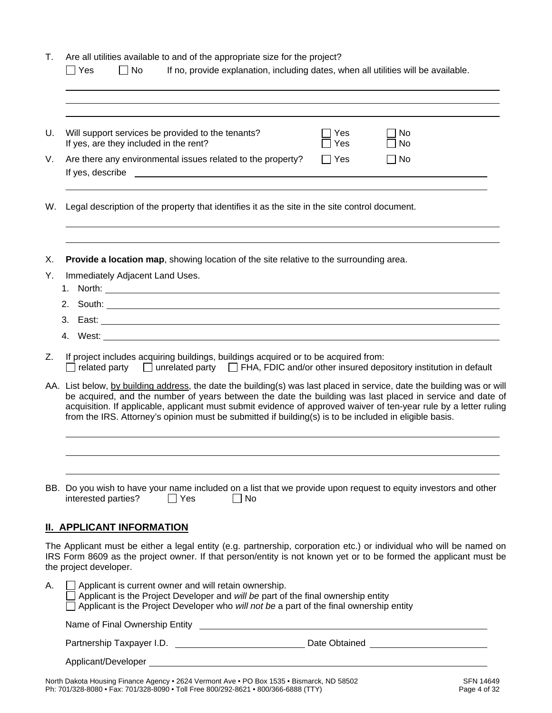| Τ.       | Are all utilities available to and of the appropriate size for the project?<br>If no, provide explanation, including dates, when all utilities will be available.<br>$\Box$ Yes<br>$\Box$ No                                                                                                                                                                                                                                                                        |
|----------|---------------------------------------------------------------------------------------------------------------------------------------------------------------------------------------------------------------------------------------------------------------------------------------------------------------------------------------------------------------------------------------------------------------------------------------------------------------------|
| U.       | Will support services be provided to the tenants?<br><b>Yes</b><br>No<br>If yes, are they included in the rent?<br>Yes<br>No                                                                                                                                                                                                                                                                                                                                        |
| V.       | Are there any environmental issues related to the property?<br>$\Box$ Yes<br>No<br>If yes, describe the contract of the contract of the contract of the contract of the contract of the contract of the contract of the contract of the contract of the contract of the contract of the contract of the contract                                                                                                                                                    |
| W.       | Legal description of the property that identifies it as the site in the site control document.                                                                                                                                                                                                                                                                                                                                                                      |
| Х.<br>Υ. | Provide a location map, showing location of the site relative to the surrounding area.<br>Immediately Adjacent Land Uses.                                                                                                                                                                                                                                                                                                                                           |
|          |                                                                                                                                                                                                                                                                                                                                                                                                                                                                     |
| Z.       | If project includes acquiring buildings, buildings acquired or to be acquired from:<br>$\Box$ related party $\Box$ unrelated party $\Box$ FHA, FDIC and/or other insured depository institution in default                                                                                                                                                                                                                                                          |
|          | AA. List below, by building address, the date the building(s) was last placed in service, date the building was or will<br>be acquired, and the number of years between the date the building was last placed in service and date of<br>acquisition. If applicable, applicant must submit evidence of approved waiver of ten-year rule by a letter ruling<br>from the IRS. Attorney's opinion must be submitted if building(s) is to be included in eligible basis. |
|          | BB. Do you wish to have your name included on a list that we provide upon request to equity investors and other<br>interested parties?<br>$\Box$ No<br>$\Box$ Yes                                                                                                                                                                                                                                                                                                   |
|          | <b>II. APPLICANT INFORMATION</b>                                                                                                                                                                                                                                                                                                                                                                                                                                    |
|          | The Applicant must be either a legal entity (e.g. partnership, corporation etc.) or individual who will be named on<br>IRS Form 8609 as the project owner. If that person/entity is not known yet or to be formed the applicant must be<br>the project developer.                                                                                                                                                                                                   |
| А.       | $\Box$ Applicant is current owner and will retain ownership.<br>$\Box$ Applicant is the Project Developer and will be part of the final ownership entity<br>Applicant is the Project Developer who will not be a part of the final ownership entity                                                                                                                                                                                                                 |
|          | Name of Final Ownership Entity <b>Constant Construct Constant Constant Construction</b>                                                                                                                                                                                                                                                                                                                                                                             |
|          |                                                                                                                                                                                                                                                                                                                                                                                                                                                                     |
|          |                                                                                                                                                                                                                                                                                                                                                                                                                                                                     |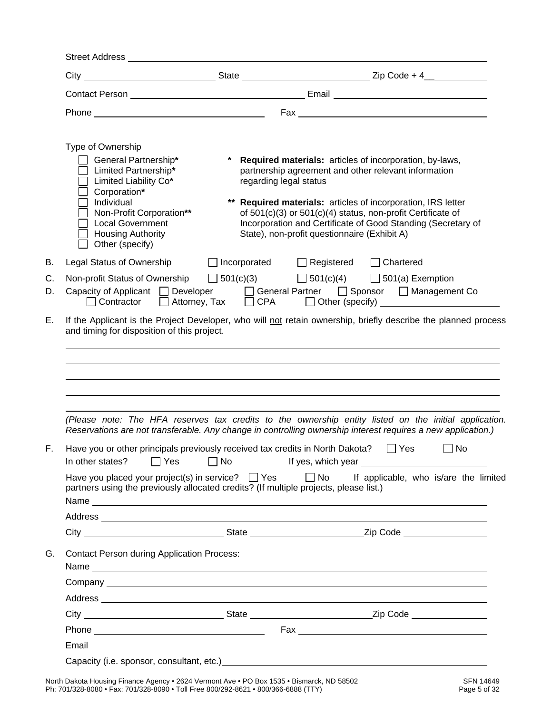Street Address

|                                                                                                                                                                                                                                |                        | City ___________________________________State _________________________________Zip Code + 4______________                                                                                                                                                                                                                                                        |
|--------------------------------------------------------------------------------------------------------------------------------------------------------------------------------------------------------------------------------|------------------------|------------------------------------------------------------------------------------------------------------------------------------------------------------------------------------------------------------------------------------------------------------------------------------------------------------------------------------------------------------------|
|                                                                                                                                                                                                                                |                        |                                                                                                                                                                                                                                                                                                                                                                  |
|                                                                                                                                                                                                                                |                        |                                                                                                                                                                                                                                                                                                                                                                  |
| Type of Ownership<br>General Partnership*<br>Limited Partnership*<br>Limited Liability Co*<br>Corporation*<br>Individual<br>Non-Profit Corporation**<br><b>Local Government</b><br><b>Housing Authority</b><br>Other (specify) | regarding legal status | * Required materials: articles of incorporation, by-laws,<br>partnership agreement and other relevant information<br>** Required materials: articles of incorporation, IRS letter<br>of 501(c)(3) or 501(c)(4) status, non-profit Certificate of<br>Incorporation and Certificate of Good Standing (Secretary of<br>State), non-profit questionnaire (Exhibit A) |
| Legal Status of Ownership                                                                                                                                                                                                      |                        | □ Incorporated □ Registered □ Chartered                                                                                                                                                                                                                                                                                                                          |
|                                                                                                                                                                                                                                |                        | Non-profit Status of Ownership $\Box$ 501(c)(3) $\Box$ 501(c)(4) $\Box$ 501(a) Exemption<br>Capacity of Applicant   Developer   General Partner   Sponsor   Management Co                                                                                                                                                                                        |
|                                                                                                                                                                                                                                |                        | □ Contractor □ Attorney, Tax □ CPA □ Other (specify) __________________________                                                                                                                                                                                                                                                                                  |
|                                                                                                                                                                                                                                |                        |                                                                                                                                                                                                                                                                                                                                                                  |
|                                                                                                                                                                                                                                |                        | (Please note: The HFA reserves tax credits to the ownership entity listed on the initial application.                                                                                                                                                                                                                                                            |
|                                                                                                                                                                                                                                |                        | Reservations are not transferable. Any change in controlling ownership interest requires a new application.)                                                                                                                                                                                                                                                     |
| Have you or other principals previously received tax credits in North Dakota?                                                                                                                                                  |                        | $\Box$ Yes<br>$\Box$ No<br>In other states? □ Yes □ No If yes, which year _________________________________                                                                                                                                                                                                                                                      |
| partners using the previously allocated credits? (If multiple projects, please list.)                                                                                                                                          |                        | Have you placed your project(s) in service? $\Box$ Yes $\Box$ No If applicable, who is/are the limited                                                                                                                                                                                                                                                           |
|                                                                                                                                                                                                                                |                        |                                                                                                                                                                                                                                                                                                                                                                  |
|                                                                                                                                                                                                                                |                        | Address <b>contract to the contract of the contract of the contract of the contract of the contract of the contract of the contract of the contract of the contract of the contract of the contract of the contract of the contr</b>                                                                                                                             |
| <b>Contact Person during Application Process:</b>                                                                                                                                                                              |                        |                                                                                                                                                                                                                                                                                                                                                                  |
|                                                                                                                                                                                                                                |                        |                                                                                                                                                                                                                                                                                                                                                                  |
|                                                                                                                                                                                                                                |                        | Address <b>contract to the contract of the contract of the contract of the contract of the contract of the contract of the contract of the contract of the contract of the contract of the contract of the contract of the contr</b>                                                                                                                             |
|                                                                                                                                                                                                                                |                        |                                                                                                                                                                                                                                                                                                                                                                  |
| Phone experience and the state of the state of the state of the state of the state of the state of the state of the state of the state of the state of the state of the state of the state of the state of the state of the st |                        |                                                                                                                                                                                                                                                                                                                                                                  |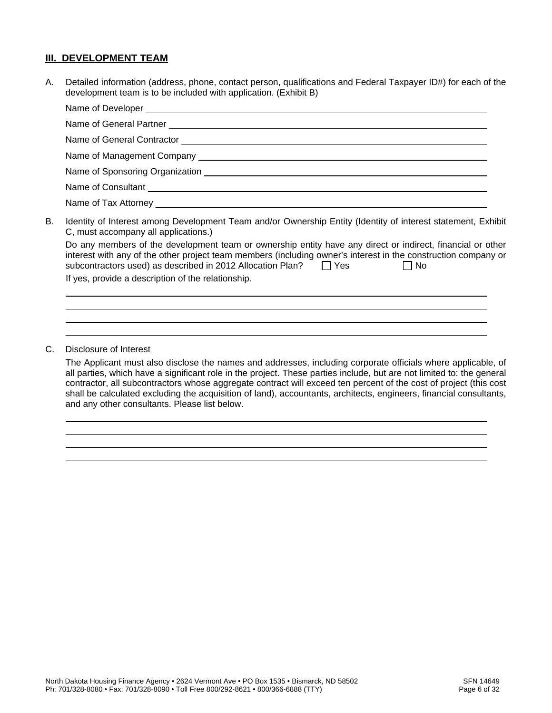#### **III. DEVELOPMENT TEAM**

A. Detailed information (address, phone, contact person, qualifications and Federal Taxpayer ID#) for each of the development team is to be included with application. (Exhibit B)

|    | Name of Consultant experience of Consultant experience of Consultant experience of Consultant experience of Consultant experience of $\sim$                                                                                                                                                                        |
|----|--------------------------------------------------------------------------------------------------------------------------------------------------------------------------------------------------------------------------------------------------------------------------------------------------------------------|
|    |                                                                                                                                                                                                                                                                                                                    |
| В. | Identity of Interest among Development Team and/or Ownership Entity (Identity of interest statement, Exhibit<br>C, must accompany all applications.)                                                                                                                                                               |
|    | Do any members of the development team or ownership entity have any direct or indirect, financial or other<br>interest with any of the other project team members (including owner's interest in the construction company or<br>subcontractors used) as described in 2012 Allocation Plan? $\Box$ Yes<br>$\Box$ No |
|    | If yes, provide a description of the relationship.                                                                                                                                                                                                                                                                 |

C. Disclosure of Interest

 $\overline{a}$ 

 $\overline{a}$  $\overline{a}$  $\overline{a}$  $\overline{a}$ 

The Applicant must also disclose the names and addresses, including corporate officials where applicable, of all parties, which have a significant role in the project. These parties include, but are not limited to: the general contractor, all subcontractors whose aggregate contract will exceed ten percent of the cost of project (this cost shall be calculated excluding the acquisition of land), accountants, architects, engineers, financial consultants, and any other consultants. Please list below.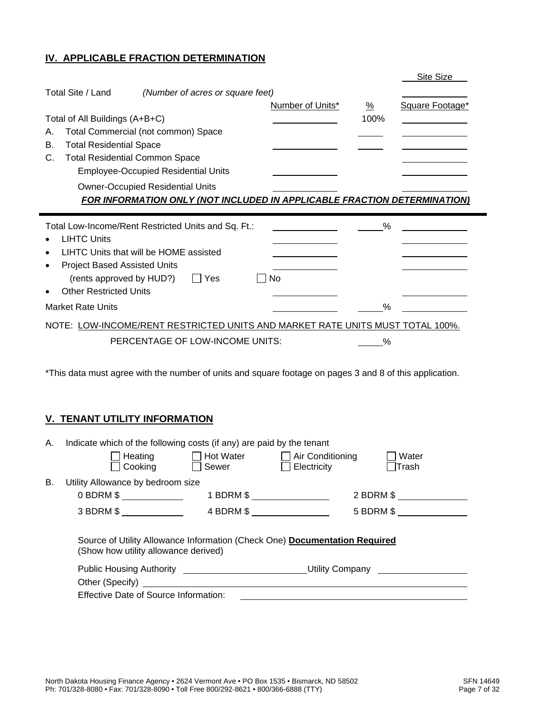#### **IV. APPLICABLE FRACTION DETERMINATION**

|                                                                               |                  |               | Site Size       |
|-------------------------------------------------------------------------------|------------------|---------------|-----------------|
| Total Site / Land<br>(Number of acres or square feet)                         |                  |               |                 |
|                                                                               | Number of Units* | $\frac{0}{2}$ | Square Footage* |
| Total of All Buildings (A+B+C)                                                |                  | 100%          |                 |
| <b>Total Commercial (not common) Space</b><br>А.                              |                  |               |                 |
| <b>Total Residential Space</b><br>В.                                          |                  |               |                 |
| <b>Total Residential Common Space</b><br>C.                                   |                  |               |                 |
| <b>Employee-Occupied Residential Units</b>                                    |                  |               |                 |
| <b>Owner-Occupied Residential Units</b>                                       |                  |               |                 |
| FOR INFORMATION ONLY (NOT INCLUDED IN APPLICABLE FRACTION DETERMINATION)      |                  |               |                 |
|                                                                               |                  |               |                 |
|                                                                               |                  |               |                 |
| Total Low-Income/Rent Restricted Units and Sq. Ft.:                           |                  | $\%$          |                 |
| <b>LIHTC Units</b>                                                            |                  |               |                 |
| LIHTC Units that will be HOME assisted                                        |                  |               |                 |
| <b>Project Based Assisted Units</b>                                           |                  |               |                 |
| (rents approved by HUD?)<br>Yes                                               | No               |               |                 |
| <b>Other Restricted Units</b>                                                 |                  |               |                 |
| <b>Market Rate Units</b>                                                      |                  | $\%$          |                 |
| NOTE: LOW-INCOME/RENT RESTRICTED UNITS AND MARKET RATE UNITS MUST TOTAL 100%. |                  |               |                 |
| PERCENTAGE OF LOW-INCOME UNITS:                                               |                  | %             |                 |

\*This data must agree with the number of units and square footage on pages 3 and 8 of this application.

#### **V. TENANT UTILITY INFORMATION**

f,

| Indicate which of the following costs (if any) are paid by the tenant<br>А. |                                                                                                                                                                                                                                                                                                                                                                                                                                                                                 |                             |                         |              |  |
|-----------------------------------------------------------------------------|---------------------------------------------------------------------------------------------------------------------------------------------------------------------------------------------------------------------------------------------------------------------------------------------------------------------------------------------------------------------------------------------------------------------------------------------------------------------------------|-----------------------------|-------------------------|--------------|--|
|                                                                             | Heating                                                                                                                                                                                                                                                                                                                                                                                                                                                                         | Hot Water                   | $\Box$ Air Conditioning | Water        |  |
|                                                                             | Cooking                                                                                                                                                                                                                                                                                                                                                                                                                                                                         | Sewer                       | Electricity             | Trash        |  |
| В.                                                                          | Utility Allowance by bedroom size                                                                                                                                                                                                                                                                                                                                                                                                                                               |                             |                         |              |  |
|                                                                             | 0 BDRM \$ _____________                                                                                                                                                                                                                                                                                                                                                                                                                                                         | 1 BDRM \$ _________________ |                         | 2 BDRM \$    |  |
|                                                                             | $3$ BDRM $$$ __________                                                                                                                                                                                                                                                                                                                                                                                                                                                         | 4 BDRM \$ _______________   |                         | $5$ BDRM $$$ |  |
|                                                                             | Source of Utility Allowance Information (Check One) Documentation Required<br>(Show how utility allowance derived)<br>Public Housing Authority _________________________________Utility Company<br>Other (Specify) <u>Container and Containers</u> and Containers and Containers and Containers and Containers and Containers and Containers and Containers and Containers and Containers and Containers and Containers and Containers<br>Effective Date of Source Information: |                             |                         |              |  |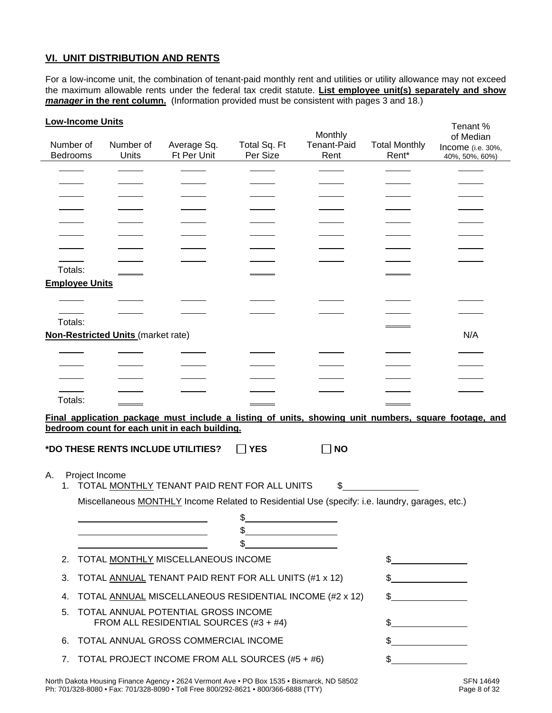#### **VI. UNIT DISTRIBUTION AND RENTS**

For a low-income unit, the combination of tenant-paid monthly rent and utilities or utility allowance may not exceed the maximum allowable rents under the federal tax credit statute. **List employee unit(s) separately and show manager in the rent column.** (Information provided must be consistent with pages 3 and 18.)

| <b>Low-Income Units</b> |                                           |                                                                                                |              |             |                      | Tenant %                                                                                             |
|-------------------------|-------------------------------------------|------------------------------------------------------------------------------------------------|--------------|-------------|----------------------|------------------------------------------------------------------------------------------------------|
|                         |                                           |                                                                                                |              | Monthly     |                      | of Median                                                                                            |
| Number of               | Number of                                 | Average Sq.                                                                                    | Total Sq. Ft | Tenant-Paid | <b>Total Monthly</b> | Income (i.e. 30%,                                                                                    |
| Bedrooms                | Units                                     | Ft Per Unit                                                                                    | Per Size     | Rent        | Rent*                | 40%, 50%, 60%)                                                                                       |
|                         |                                           |                                                                                                |              |             |                      |                                                                                                      |
|                         |                                           |                                                                                                |              |             |                      |                                                                                                      |
|                         |                                           |                                                                                                |              |             |                      |                                                                                                      |
|                         |                                           |                                                                                                |              |             |                      |                                                                                                      |
|                         |                                           |                                                                                                |              |             |                      |                                                                                                      |
|                         |                                           |                                                                                                |              |             |                      |                                                                                                      |
|                         |                                           |                                                                                                |              |             |                      |                                                                                                      |
| Totals:                 |                                           |                                                                                                |              |             |                      |                                                                                                      |
| <b>Employee Units</b>   |                                           |                                                                                                |              |             |                      |                                                                                                      |
|                         |                                           |                                                                                                |              |             |                      |                                                                                                      |
|                         |                                           |                                                                                                |              |             |                      |                                                                                                      |
| Totals:                 |                                           |                                                                                                |              |             |                      |                                                                                                      |
|                         | <b>Non-Restricted Units (market rate)</b> |                                                                                                |              |             |                      | N/A                                                                                                  |
|                         |                                           |                                                                                                |              |             |                      |                                                                                                      |
|                         |                                           |                                                                                                |              |             |                      |                                                                                                      |
|                         |                                           |                                                                                                |              |             |                      |                                                                                                      |
|                         |                                           |                                                                                                |              |             |                      |                                                                                                      |
| Totals:                 |                                           |                                                                                                |              |             |                      |                                                                                                      |
|                         |                                           |                                                                                                |              |             |                      |                                                                                                      |
|                         |                                           | bedroom count for each unit in each building.                                                  |              |             |                      | Final application package must include a listing of units, showing unit numbers, square footage, and |
|                         |                                           |                                                                                                |              |             |                      |                                                                                                      |
|                         | *DO THESE RENTS INCLUDE UTILITIES?        |                                                                                                | <b>YES</b>   | <b>NO</b>   |                      |                                                                                                      |
|                         |                                           |                                                                                                |              |             |                      |                                                                                                      |
| А.                      | Project Income                            |                                                                                                |              |             |                      |                                                                                                      |
|                         |                                           | 1. TOTAL MONTHLY TENANT PAID RENT FOR ALL UNITS                                                |              | \$          |                      |                                                                                                      |
|                         |                                           | Miscellaneous MONTHLY Income Related to Residential Use (specify: i.e. laundry, garages, etc.) |              |             |                      |                                                                                                      |
|                         |                                           |                                                                                                | \$           |             |                      |                                                                                                      |
|                         |                                           |                                                                                                | \$           |             |                      |                                                                                                      |
|                         |                                           |                                                                                                | \$           |             |                      |                                                                                                      |
| 2.                      |                                           | TOTAL MONTHLY MISCELLANEOUS INCOME                                                             |              |             | \$                   |                                                                                                      |
| 3.                      |                                           | TOTAL ANNUAL TENANT PAID RENT FOR ALL UNITS (#1 x 12)                                          |              |             |                      |                                                                                                      |
| 4.                      |                                           | TOTAL ANNUAL MISCELLANEOUS RESIDENTIAL INCOME (#2 x 12)                                        |              |             | \$.                  |                                                                                                      |
| 5.                      |                                           | TOTAL ANNUAL POTENTIAL GROSS INCOME<br>FROM ALL RESIDENTIAL SOURCES (#3 + #4)                  |              |             | \$                   |                                                                                                      |
| 6.                      |                                           | TOTAL ANNUAL GROSS COMMERCIAL INCOME                                                           |              |             |                      |                                                                                                      |
| 7.                      |                                           | TOTAL PROJECT INCOME FROM ALL SOURCES (#5 + #6)                                                |              |             |                      |                                                                                                      |
|                         |                                           | North Dakota Housing Einance Agency • 2624 Vermont Ave • PO Boy 1535 • Bismarck, ND 58502      |              |             |                      | SEN 14649                                                                                            |

North Dakota Housing Finance Agency • 2624 Vermont Ave • PO Box 1535 • Bismarck, ND 58502<br>Ph: 701/328-8080 • Fax: 701/328-8090 • Toll Free 800/292-8621 • 800/366-6888 (TTY) Ph: 701/328-8080 • Fax: 701/328-8090 • Toll Free 800/292-8621 • 800/366-6888 (TTY)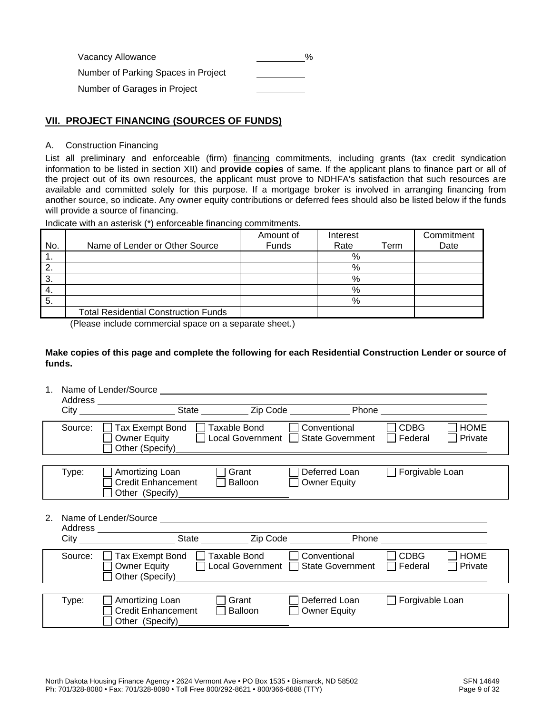| Vacancy Allowance                   | $\%$ |
|-------------------------------------|------|
| Number of Parking Spaces in Project |      |
| Number of Garages in Project        |      |

#### **VII. PROJECT FINANCING (SOURCES OF FUNDS)**

#### A. Construction Financing

List all preliminary and enforceable (firm) financing commitments, including grants (tax credit syndication information to be listed in section XII) and **provide copies** of same. If the applicant plans to finance part or all of the project out of its own resources, the applicant must prove to NDHFA's satisfaction that such resources are available and committed solely for this purpose. If a mortgage broker is involved in arranging financing from another source, so indicate. Any owner equity contributions or deferred fees should also be listed below if the funds will provide a source of financing.

Indicate with an asterisk (\*) enforceable financing commitments.

|     |                                             | Amount of | Interest |      | Commitment |
|-----|---------------------------------------------|-----------|----------|------|------------|
| No. | Name of Lender or Other Source              | Funds     | Rate     | Term | Date       |
| .   |                                             |           | %        |      |            |
| 2.  |                                             |           | %        |      |            |
| 3.  |                                             |           | %        |      |            |
| 4.  |                                             |           | %        |      |            |
| 5.  |                                             |           | %        |      |            |
|     | <b>Total Residential Construction Funds</b> |           |          |      |            |

(Please include commercial space on a separate sheet.)

#### **Make copies of this page and complete the following for each Residential Construction Lender or source of funds.**

|    |         | Name of Lender/Source<br>Address _______________________                                 |                                         |                                                                   |                        |
|----|---------|------------------------------------------------------------------------------------------|-----------------------------------------|-------------------------------------------------------------------|------------------------|
|    |         |                                                                                          |                                         |                                                                   |                        |
|    | Source: | □ Tax Exempt Bond □ Taxable Bond<br>Owner Equity<br>Other (Specify)                      | Local Government [                      | <b>CDBG</b><br>Conventional<br><b>State Government</b><br>Federal | <b>HOME</b><br>Private |
|    | Type:   | Amortizing Loan<br><b>Credit Enhancement</b><br>Other (Specify)                          | Grant<br>Balloon<br><b>Owner Equity</b> | Forgivable Loan<br>Deferred Loan                                  |                        |
| 2. |         |                                                                                          |                                         |                                                                   |                        |
|    | Source: | Tax Exempt Bond □ Taxable Bond<br>$\mathbf{L}$<br><b>Owner Equity</b><br>Other (Specify) | Local Government                        | <b>CDBG</b><br>Conventional<br><b>State Government</b><br>Federal | <b>HOME</b><br>Private |
|    | Type:   | Amortizing Loan<br><b>Credit Enhancement</b><br>Other (Specify)                          | Grant<br>Balloon<br><b>Owner Equity</b> | Forgivable Loan<br>Deferred Loan                                  |                        |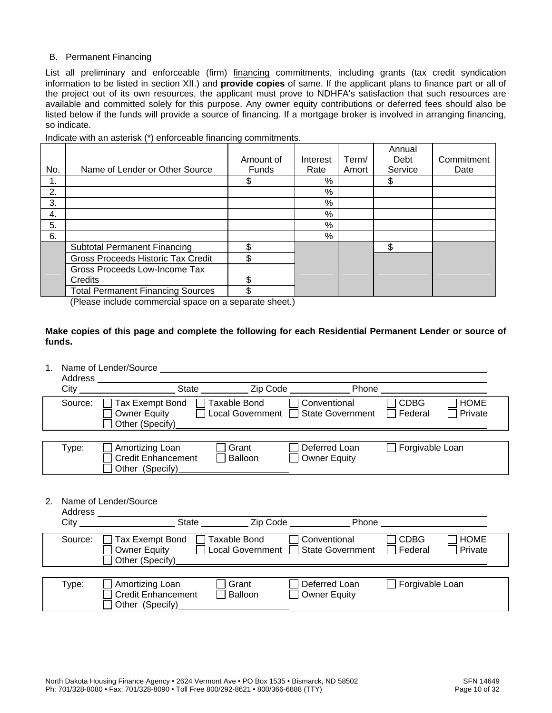#### B. Permanent Financing

List all preliminary and enforceable (firm) financing commitments, including grants (tax credit syndication information to be listed in section XII.) and **provide copies** of same. If the applicant plans to finance part or all of the project out of its own resources, the applicant must prove to NDHFA's satisfaction that such resources are available and committed solely for this purpose. Any owner equity contributions or deferred fees should also be listed below if the funds will provide a source of financing. If a mortgage broker is involved in arranging financing, so indicate.

Indicate with an asterisk (\*) enforceable financing commitments.

|     |                                           |           |               |       | Annual  |            |
|-----|-------------------------------------------|-----------|---------------|-------|---------|------------|
|     |                                           | Amount of | Interest      | Term/ | Debt    | Commitment |
| No. | Name of Lender or Other Source            | Funds     | Rate          | Amort | Service | Date       |
| 1.  |                                           |           | $\%$          |       | S       |            |
| 2.  |                                           |           | %             |       |         |            |
| 3.  |                                           |           | $\frac{0}{0}$ |       |         |            |
| 4.  |                                           |           | %             |       |         |            |
| 5.  |                                           |           | %             |       |         |            |
| 6.  |                                           |           | $\%$          |       |         |            |
|     | <b>Subtotal Permanent Financing</b>       | \$        |               |       | \$      |            |
|     | <b>Gross Proceeds Historic Tax Credit</b> | \$        |               |       |         |            |
|     | Gross Proceeds Low-Income Tax             |           |               |       |         |            |
|     | Credits                                   | S         |               |       |         |            |
|     | <b>Total Permanent Financing Sources</b>  | \$        |               |       |         |            |

(Please include commercial space on a separate sheet.)

#### **Make copies of this page and complete the following for each Residential Permanent Lender or source of funds.**

1. Name of Lender/Source

|    | Address |                                                                                                                                                                                                     |  |
|----|---------|-----------------------------------------------------------------------------------------------------------------------------------------------------------------------------------------------------|--|
|    |         | City _______________________State _____________Zip Code ____________________Phone _____                                                                                                             |  |
|    | Source: | <b>CDBG</b><br>Taxable Bond<br><b>HOME</b><br>Tax Exempt Bond<br>Conventional<br>Local Government □ State Government<br><b>Owner Equity</b><br>Federal<br>Private<br>Other (Specify)                |  |
|    | Type:   | Grant<br>Forgivable Loan<br>Amortizing Loan<br>Deferred Loan<br><b>Credit Enhancement</b><br><b>Owner Equity</b><br>Balloon<br>Other (Specify)                                                      |  |
| 2. |         |                                                                                                                                                                                                     |  |
|    | Source: | <b>CDBG</b><br><b>HOME</b><br><b>Taxable Bond</b><br>Conventional<br>Tax Exempt Bond<br><b>Owner Equity</b><br>Local Government<br><b>State Government</b><br>Federal<br>Private<br>Other (Specify) |  |
|    |         |                                                                                                                                                                                                     |  |
|    | Type:   | Grant<br>Forgivable Loan<br>Amortizing Loan<br>Deferred Loan<br><b>Credit Enhancement</b><br><b>Owner Equity</b><br>Balloon<br>Other (Specify)                                                      |  |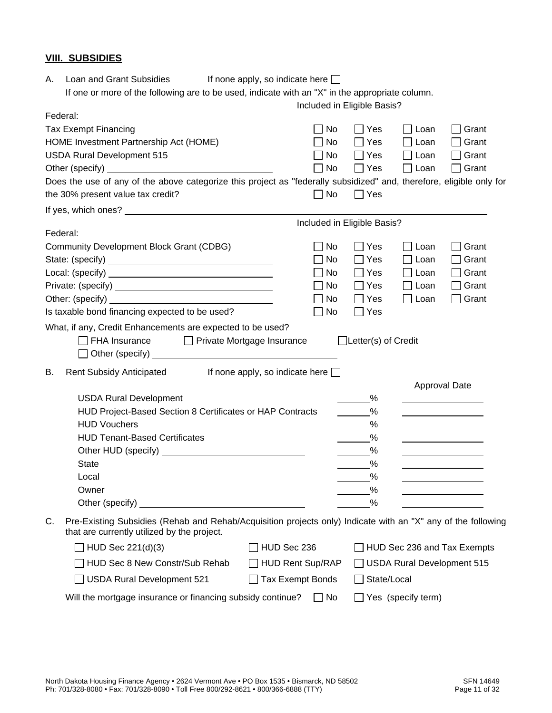#### **VIII. SUBSIDIES**

| А. | Loan and Grant Subsidies<br>If none apply, so indicate here $\Box$                                                                                                                                                                   |                             |                                 |                            |                                                                      |
|----|--------------------------------------------------------------------------------------------------------------------------------------------------------------------------------------------------------------------------------------|-----------------------------|---------------------------------|----------------------------|----------------------------------------------------------------------|
|    | If one or more of the following are to be used, indicate with an "X" in the appropriate column.                                                                                                                                      |                             |                                 |                            |                                                                      |
|    | Federal:                                                                                                                                                                                                                             | Included in Eligible Basis? |                                 |                            |                                                                      |
|    | <b>Tax Exempt Financing</b>                                                                                                                                                                                                          | <b>No</b>                   | $\Box$ Yes                      | Loan                       | Grant                                                                |
|    | HOME Investment Partnership Act (HOME)                                                                                                                                                                                               | No                          | $\Box$ Yes                      | Loan                       | Grant                                                                |
|    | <b>USDA Rural Development 515</b>                                                                                                                                                                                                    | No                          | $\Box$ Yes                      | $\Box$ Loan                | Grant<br>$\blacksquare$                                              |
|    |                                                                                                                                                                                                                                      | <b>No</b>                   | $\Box$ Yes                      | $\Box$ Loan                | Grant<br>$\blacksquare$                                              |
|    | Does the use of any of the above categorize this project as "federally subsidized" and, therefore, eligible only for                                                                                                                 |                             |                                 |                            |                                                                      |
|    | the 30% present value tax credit?                                                                                                                                                                                                    | $\Box$ No                   | $\Box$ Yes                      |                            |                                                                      |
|    |                                                                                                                                                                                                                                      |                             |                                 |                            |                                                                      |
|    |                                                                                                                                                                                                                                      | Included in Eligible Basis? |                                 |                            |                                                                      |
|    | Federal:                                                                                                                                                                                                                             |                             |                                 |                            |                                                                      |
|    | <b>Community Development Block Grant (CDBG)</b>                                                                                                                                                                                      | No                          | $\Box$ Yes                      | $\Box$ Loan                | Grant                                                                |
|    |                                                                                                                                                                                                                                      | No                          | $\Box$ Yes                      | Loan                       | Grant                                                                |
|    |                                                                                                                                                                                                                                      | No                          | $\Box$ Yes                      | $\Box$ Loan                | Grant                                                                |
|    |                                                                                                                                                                                                                                      | No                          | $\Box$ Yes                      | $\Box$ Loan                | Grant                                                                |
|    |                                                                                                                                                                                                                                      | No                          | $\Box$ Yes                      | $\Box$ Loan                | Grant<br>$\blacksquare$                                              |
|    | Is taxable bond financing expected to be used?                                                                                                                                                                                       | No                          | $\Box$ Yes                      |                            |                                                                      |
|    | What, if any, Credit Enhancements are expected to be used?<br>$\Box$ FHA Insurance<br>Private Mortgage Insurance                                                                                                                     |                             | $\Box$ Letter(s) of Credit      |                            |                                                                      |
| В. | <b>Rent Subsidy Anticipated</b><br>If none apply, so indicate here $\Box$                                                                                                                                                            |                             |                                 |                            | Approval Date                                                        |
|    | <b>USDA Rural Development</b>                                                                                                                                                                                                        |                             | %                               |                            |                                                                      |
|    | HUD Project-Based Section 8 Certificates or HAP Contracts                                                                                                                                                                            |                             | $\%$                            |                            |                                                                      |
|    | <b>HUD Vouchers</b>                                                                                                                                                                                                                  |                             | %                               |                            |                                                                      |
|    | <b>HUD Tenant-Based Certificates</b>                                                                                                                                                                                                 |                             | $\frac{9}{6}$                   |                            |                                                                      |
|    |                                                                                                                                                                                                                                      |                             | %<br>$\mathcal{L}(\mathcal{L})$ |                            |                                                                      |
|    | <b>State</b>                                                                                                                                                                                                                         |                             | $\%$                            |                            |                                                                      |
|    | Local                                                                                                                                                                                                                                |                             | $\frac{9}{6}$                   |                            |                                                                      |
|    | Owner                                                                                                                                                                                                                                |                             | %                               |                            |                                                                      |
|    | Other (specify) <u>example and the set of the set of the set of the set of the set of the set of the set of the set of the set of the set of the set of the set of the set of the set of the set of the set of the set of the se</u> |                             | %                               |                            |                                                                      |
| C. | Pre-Existing Subsidies (Rehab and Rehab/Acquisition projects only) Indicate with an "X" any of the following<br>that are currently utilized by the project.                                                                          |                             |                                 |                            |                                                                      |
|    | $\Box$ HUD Sec 221(d)(3)                                                                                                                                                                                                             | HUD Sec 236                 |                                 |                            | HUD Sec 236 and Tax Exempts                                          |
|    | HUD Sec 8 New Constr/Sub Rehab                                                                                                                                                                                                       | <b>HUD Rent Sup/RAP</b>     |                                 | USDA Rural Development 515 |                                                                      |
|    | <b>USDA Rural Development 521</b>                                                                                                                                                                                                    | Tax Exempt Bonds            | □ State/Local                   |                            |                                                                      |
|    | Will the mortgage insurance or financing subsidy continue?                                                                                                                                                                           | $\Box$ No                   |                                 |                            | $\Box$ Yes (specify term) $\_\_\_\_\_\_\_\_\_\_\_\_\_\_\_\_\_\_\_\_$ |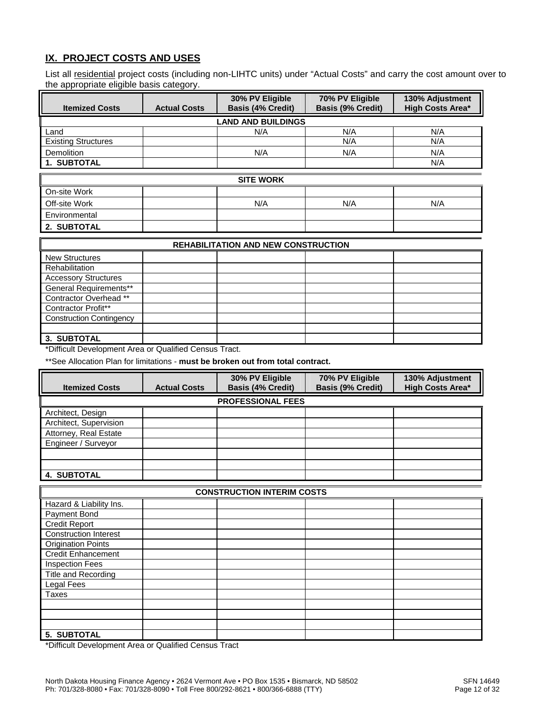#### **IX. PROJECT COSTS AND USES**

List all residential project costs (including non-LIHTC units) under "Actual Costs" and carry the cost amount over to the appropriate eligible basis category.

|                                 |                     | 30% PV Eligible                            | 70% PV Eligible          | 130% Adjustment         |  |  |  |  |
|---------------------------------|---------------------|--------------------------------------------|--------------------------|-------------------------|--|--|--|--|
| <b>Itemized Costs</b>           | <b>Actual Costs</b> | <b>Basis (4% Credit)</b>                   | <b>Basis (9% Credit)</b> | <b>High Costs Area*</b> |  |  |  |  |
| <b>LAND AND BUILDINGS</b>       |                     |                                            |                          |                         |  |  |  |  |
| Land                            |                     | N/A                                        | N/A                      | N/A                     |  |  |  |  |
| <b>Existing Structures</b>      |                     |                                            | N/A                      | N/A                     |  |  |  |  |
| <b>Demolition</b>               |                     | N/A                                        | N/A                      | N/A                     |  |  |  |  |
| 1. SUBTOTAL                     |                     |                                            |                          | N/A                     |  |  |  |  |
|                                 |                     | <b>SITE WORK</b>                           |                          |                         |  |  |  |  |
| On-site Work                    |                     |                                            |                          |                         |  |  |  |  |
| Off-site Work                   |                     | N/A                                        | N/A                      | N/A                     |  |  |  |  |
| Environmental                   |                     |                                            |                          |                         |  |  |  |  |
| 2. SUBTOTAL                     |                     |                                            |                          |                         |  |  |  |  |
|                                 |                     | <b>REHABILITATION AND NEW CONSTRUCTION</b> |                          |                         |  |  |  |  |
| <b>New Structures</b>           |                     |                                            |                          |                         |  |  |  |  |
| Rehabilitation                  |                     |                                            |                          |                         |  |  |  |  |
| <b>Accessory Structures</b>     |                     |                                            |                          |                         |  |  |  |  |
| General Requirements**          |                     |                                            |                          |                         |  |  |  |  |
| Contractor Overhead **          |                     |                                            |                          |                         |  |  |  |  |
| <b>Contractor Profit**</b>      |                     |                                            |                          |                         |  |  |  |  |
| <b>Construction Contingency</b> |                     |                                            |                          |                         |  |  |  |  |
|                                 |                     |                                            |                          |                         |  |  |  |  |
| 3. SUBTOTAL                     |                     |                                            |                          |                         |  |  |  |  |

\*Difficult Development Area or Qualified Census Tract.

\*\*See Allocation Plan for limitations - **must be broken out from total contract.** 

| <b>Itemized Costs</b>  | <b>Actual Costs</b> | 30% PV Eligible<br><b>Basis (4% Credit)</b> | 70% PV Eligible<br><b>Basis (9% Credit)</b> | 130% Adjustment<br><b>High Costs Area*</b> |
|------------------------|---------------------|---------------------------------------------|---------------------------------------------|--------------------------------------------|
|                        |                     | <b>PROFESSIONAL FEES</b>                    |                                             |                                            |
| Architect, Design      |                     |                                             |                                             |                                            |
| Architect, Supervision |                     |                                             |                                             |                                            |
| Attorney, Real Estate  |                     |                                             |                                             |                                            |
| Engineer / Surveyor    |                     |                                             |                                             |                                            |
|                        |                     |                                             |                                             |                                            |
|                        |                     |                                             |                                             |                                            |
| <b>4. SUBTOTAL</b>     |                     |                                             |                                             |                                            |

| <b>CONSTRUCTION INTERIM COSTS</b> |  |  |  |  |  |  |
|-----------------------------------|--|--|--|--|--|--|
| Hazard & Liability Ins.           |  |  |  |  |  |  |
| Payment Bond                      |  |  |  |  |  |  |
| <b>Credit Report</b>              |  |  |  |  |  |  |
| <b>Construction Interest</b>      |  |  |  |  |  |  |
| <b>Origination Points</b>         |  |  |  |  |  |  |
| <b>Credit Enhancement</b>         |  |  |  |  |  |  |
| <b>Inspection Fees</b>            |  |  |  |  |  |  |
| Title and Recording               |  |  |  |  |  |  |
| Legal Fees                        |  |  |  |  |  |  |
| Taxes                             |  |  |  |  |  |  |
|                                   |  |  |  |  |  |  |
|                                   |  |  |  |  |  |  |
|                                   |  |  |  |  |  |  |
| 5. SUBTOTAL                       |  |  |  |  |  |  |

\*Difficult Development Area or Qualified Census Tract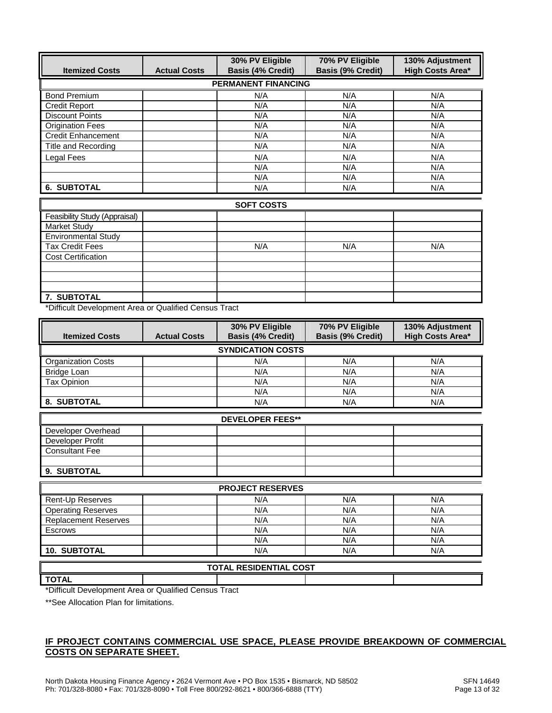| <b>Itemized Costs</b>      | <b>Actual Costs</b> | 30% PV Eligible<br><b>Basis (4% Credit)</b> | 70% PV Eligible<br><b>Basis (9% Credit)</b> | 130% Adjustment<br><b>High Costs Area*</b> |
|----------------------------|---------------------|---------------------------------------------|---------------------------------------------|--------------------------------------------|
|                            |                     | <b>PERMANENT FINANCING</b>                  |                                             |                                            |
| <b>Bond Premium</b>        |                     | N/A                                         | N/A                                         | N/A                                        |
| <b>Credit Report</b>       |                     | N/A                                         | N/A                                         | N/A                                        |
| <b>Discount Points</b>     |                     | N/A                                         | N/A                                         | N/A                                        |
| <b>Origination Fees</b>    |                     | N/A                                         | N/A                                         | N/A                                        |
| <b>Credit Enhancement</b>  |                     | N/A                                         | N/A                                         | N/A                                        |
| <b>Title and Recording</b> |                     | N/A                                         | N/A                                         | N/A                                        |
| Legal Fees                 |                     | N/A                                         | N/A                                         | N/A                                        |
|                            |                     | N/A                                         | N/A                                         | N/A                                        |
|                            |                     | N/A                                         | N/A                                         | N/A                                        |
| <b>6. SUBTOTAL</b>         |                     | N/A                                         | N/A                                         | N/A                                        |

| <b>SOFT COSTS</b>             |  |     |     |     |  |  |
|-------------------------------|--|-----|-----|-----|--|--|
| Feasibility Study (Appraisal) |  |     |     |     |  |  |
| <b>Market Study</b>           |  |     |     |     |  |  |
| <b>Environmental Study</b>    |  |     |     |     |  |  |
| <b>Tax Credit Fees</b>        |  | N/A | N/A | N/A |  |  |
| <b>Cost Certification</b>     |  |     |     |     |  |  |
|                               |  |     |     |     |  |  |
|                               |  |     |     |     |  |  |
|                               |  |     |     |     |  |  |
| 7. SUBTOTAL                   |  |     |     |     |  |  |

\*Difficult Development Area or Qualified Census Tract

| <b>Itemized Costs</b><br><b>Actual Costs</b> |  | 30% PV Eligible<br><b>Basis (4% Credit)</b> | 70% PV Eligible<br><b>Basis (9% Credit)</b> | 130% Adjustment<br><b>High Costs Area*</b> |  |  |
|----------------------------------------------|--|---------------------------------------------|---------------------------------------------|--------------------------------------------|--|--|
|                                              |  | <b>SYNDICATION COSTS</b>                    |                                             |                                            |  |  |
| <b>Organization Costs</b>                    |  | N/A                                         | N/A                                         | N/A                                        |  |  |
| Bridge Loan                                  |  | N/A                                         | N/A                                         | N/A                                        |  |  |
| <b>Tax Opinion</b>                           |  | N/A                                         | N/A                                         | N/A                                        |  |  |
|                                              |  | N/A                                         | N/A                                         | N/A                                        |  |  |
| 8. SUBTOTAL                                  |  | N/A                                         | N/A                                         | N/A                                        |  |  |
|                                              |  | <b>DEVELOPER FEES**</b>                     |                                             |                                            |  |  |
| Developer Overhead                           |  |                                             |                                             |                                            |  |  |
| Developer Profit                             |  |                                             |                                             |                                            |  |  |
| <b>Consultant Fee</b>                        |  |                                             |                                             |                                            |  |  |
|                                              |  |                                             |                                             |                                            |  |  |
| 9. SUBTOTAL                                  |  |                                             |                                             |                                            |  |  |
| <b>PROJECT RESERVES</b>                      |  |                                             |                                             |                                            |  |  |
| Rent-Up Reserves                             |  | N/A                                         | N/A                                         | N/A                                        |  |  |
| <b>Operating Reserves</b>                    |  | N/A                                         | N/A                                         | N/A                                        |  |  |
| <b>Replacement Reserves</b>                  |  | N/A                                         | N/A                                         | N/A                                        |  |  |
| <b>Escrows</b>                               |  | N/A                                         | N/A                                         | N/A                                        |  |  |
|                                              |  | N/A                                         | N/A                                         | N/A                                        |  |  |

# **10. SUBTOTAL** N/A N/A N/A **TOTAL RESIDENTIAL COST**

**TOTAL** 

\*Difficult Development Area or Qualified Census Tract

\*\*See Allocation Plan for limitations.

#### **IF PROJECT CONTAINS COMMERCIAL USE SPACE, PLEASE PROVIDE BREAKDOWN OF COMMERCIAL COSTS ON SEPARATE SHEET.**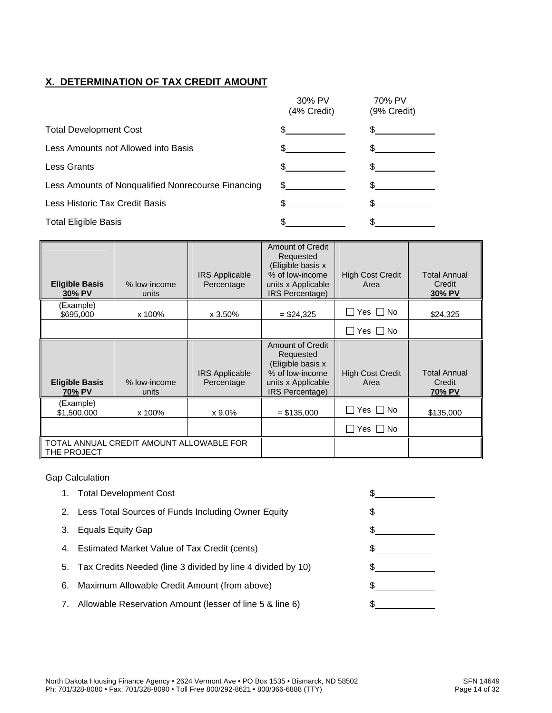## **X. DETERMINATION OF TAX CREDIT AMOUNT**

|                                                    | 30% PV<br>(4% Credit) | 70% PV<br>(9% Credit) |
|----------------------------------------------------|-----------------------|-----------------------|
| <b>Total Development Cost</b>                      |                       |                       |
| Less Amounts not Allowed into Basis                |                       |                       |
| <b>Less Grants</b>                                 |                       |                       |
| Less Amounts of Nonqualified Nonrecourse Financing | \$                    |                       |
| Less Historic Tax Credit Basis                     |                       |                       |
| <b>Total Eligible Basis</b>                        |                       |                       |

| <b>Eligible Basis</b><br>30% PV | % low-income<br>units                    | <b>IRS Applicable</b><br>Percentage | <b>Amount of Credit</b><br>Requested<br>(Eligible basis x<br>% of low-income<br>units x Applicable<br>IRS Percentage) | <b>High Cost Credit</b><br>Area | <b>Total Annual</b><br>Credit<br>30% PV |
|---------------------------------|------------------------------------------|-------------------------------------|-----------------------------------------------------------------------------------------------------------------------|---------------------------------|-----------------------------------------|
| (Example)<br>\$695,000          | x 100%                                   | x 3.50%                             | $= $24,325$                                                                                                           | $\Box$ Yes $\Box$ No            | \$24,325                                |
|                                 |                                          |                                     |                                                                                                                       | │ Yes │ No                      |                                         |
| <b>Eligible Basis</b><br>70% PV | % low-income<br>units                    | <b>IRS Applicable</b><br>Percentage | <b>Amount of Credit</b><br>Requested<br>(Eligible basis x<br>% of low-income<br>units x Applicable<br>IRS Percentage) | <b>High Cost Credit</b><br>Area | <b>Total Annual</b><br>Credit<br>70% PV |
| (Example)<br>\$1,500,000        | x 100%                                   | x 9.0%                              | $=$ \$135,000                                                                                                         | $\Box$ Yes $\Box$ No            | \$135,000                               |
|                                 |                                          |                                     |                                                                                                                       | □ Yes □ No                      |                                         |
| THE PROJECT                     | TOTAL ANNUAL CREDIT AMOUNT ALLOWABLE FOR |                                     |                                                                                                                       |                                 |                                         |

#### Gap Calculation

|    | 1. Total Development Cost                                      |  |
|----|----------------------------------------------------------------|--|
|    | 2. Less Total Sources of Funds Including Owner Equity          |  |
| З. | Equals Equity Gap                                              |  |
|    | 4. Estimated Market Value of Tax Credit (cents)                |  |
|    | 5. Tax Credits Needed (line 3 divided by line 4 divided by 10) |  |
| 6. | Maximum Allowable Credit Amount (from above)                   |  |
| 7. | Allowable Reservation Amount (lesser of line 5 & line 6)       |  |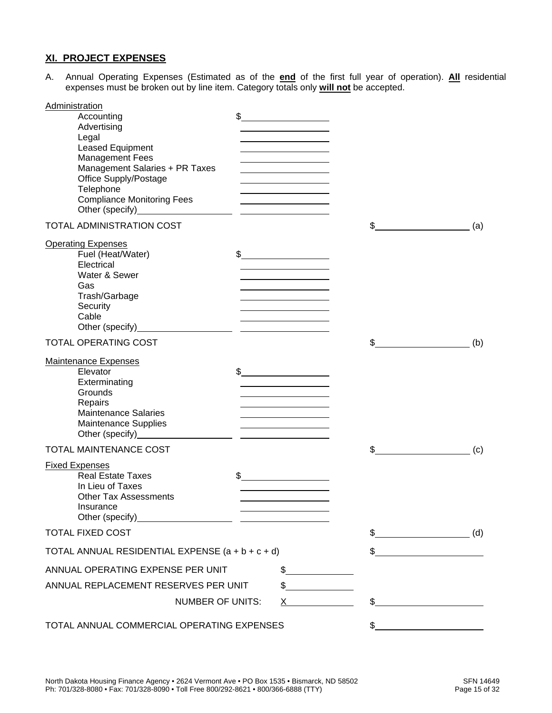#### **XI. PROJECT EXPENSES**

A. Annual Operating Expenses (Estimated as of the **end** of the first full year of operation). **All** residential expenses must be broken out by line item. Category totals only **will not** be accepted.

| <b>Administration</b><br>Accounting                                                                                                                                                                                            |                                                                                                                       |                                                      |     |
|--------------------------------------------------------------------------------------------------------------------------------------------------------------------------------------------------------------------------------|-----------------------------------------------------------------------------------------------------------------------|------------------------------------------------------|-----|
| Advertising                                                                                                                                                                                                                    |                                                                                                                       |                                                      |     |
| Legal                                                                                                                                                                                                                          | the control of the control of the control of                                                                          |                                                      |     |
| Leased Equipment                                                                                                                                                                                                               |                                                                                                                       |                                                      |     |
| <b>Management Fees</b>                                                                                                                                                                                                         |                                                                                                                       |                                                      |     |
| Management Salaries + PR Taxes                                                                                                                                                                                                 |                                                                                                                       |                                                      |     |
| Office Supply/Postage                                                                                                                                                                                                          |                                                                                                                       |                                                      |     |
| Telephone<br><b>Compliance Monitoring Fees</b>                                                                                                                                                                                 |                                                                                                                       |                                                      |     |
|                                                                                                                                                                                                                                | <u> 1980 - Johann Barn, mars an t-Amerikaansk kommunister (</u>                                                       |                                                      |     |
| TOTAL ADMINISTRATION COST                                                                                                                                                                                                      |                                                                                                                       |                                                      | (a) |
| <b>Operating Expenses</b>                                                                                                                                                                                                      |                                                                                                                       |                                                      |     |
| Fuel (Heat/Water)                                                                                                                                                                                                              |                                                                                                                       |                                                      |     |
| Electrical                                                                                                                                                                                                                     |                                                                                                                       |                                                      |     |
| Water & Sewer                                                                                                                                                                                                                  |                                                                                                                       |                                                      |     |
| Gas                                                                                                                                                                                                                            |                                                                                                                       |                                                      |     |
| Trash/Garbage                                                                                                                                                                                                                  | <u> 1980 - Johann Barbara, martxa alemaniar a</u>                                                                     |                                                      |     |
| Security<br>Cable                                                                                                                                                                                                              |                                                                                                                       |                                                      |     |
|                                                                                                                                                                                                                                | the contract of the contract of the contract of                                                                       |                                                      |     |
| TOTAL OPERATING COST                                                                                                                                                                                                           |                                                                                                                       | \$                                                   | (b) |
|                                                                                                                                                                                                                                |                                                                                                                       |                                                      |     |
| <b>Maintenance Expenses</b><br>Elevator                                                                                                                                                                                        | $\frac{1}{2}$                                                                                                         |                                                      |     |
| Exterminating                                                                                                                                                                                                                  |                                                                                                                       |                                                      |     |
| Grounds                                                                                                                                                                                                                        |                                                                                                                       |                                                      |     |
| Repairs                                                                                                                                                                                                                        | <u> 1989 - Johann Barn, mars eta bainar eta idazlea (</u>                                                             |                                                      |     |
| <b>Maintenance Salaries</b>                                                                                                                                                                                                    | <u> 1989 - Johann Barn, mars ann an t-Amhair an t-Amhair an t-Amhair an t-Amhair an t-Amhair an t-Amhair an t-Amh</u> |                                                      |     |
| Maintenance Supplies                                                                                                                                                                                                           | <u> 1989 - Johann Stoff, Amerikaansk politiker (</u>                                                                  |                                                      |     |
| TOTAL MAINTENANCE COST                                                                                                                                                                                                         |                                                                                                                       | \$                                                   | (c) |
|                                                                                                                                                                                                                                |                                                                                                                       |                                                      |     |
| <b>Fixed Expenses</b>                                                                                                                                                                                                          |                                                                                                                       |                                                      |     |
| <b>Real Estate Taxes</b><br>In Lieu of Taxes                                                                                                                                                                                   |                                                                                                                       |                                                      |     |
| <b>Other Tax Assessments</b>                                                                                                                                                                                                   |                                                                                                                       |                                                      |     |
| Insurance                                                                                                                                                                                                                      |                                                                                                                       |                                                      |     |
| Other (specify) example and the set of the set of the set of the set of the set of the set of the set of the set of the set of the set of the set of the set of the set of the set of the set of the set of the set of the set |                                                                                                                       |                                                      |     |
| <b>TOTAL FIXED COST</b>                                                                                                                                                                                                        |                                                                                                                       | $\mathbb{S}$<br><u> 1980 - Johann Barbara, martx</u> | (d) |
| TOTAL ANNUAL RESIDENTIAL EXPENSE $(a + b + c + d)$                                                                                                                                                                             |                                                                                                                       | \$                                                   |     |
| ANNUAL OPERATING EXPENSE PER UNIT                                                                                                                                                                                              | $\sim$                                                                                                                |                                                      |     |
| ANNUAL REPLACEMENT RESERVES PER UNIT                                                                                                                                                                                           | \$                                                                                                                    |                                                      |     |
| <b>NUMBER OF UNITS:</b>                                                                                                                                                                                                        | X.                                                                                                                    | \$                                                   |     |
| TOTAL ANNUAL COMMERCIAL OPERATING EXPENSES                                                                                                                                                                                     |                                                                                                                       |                                                      |     |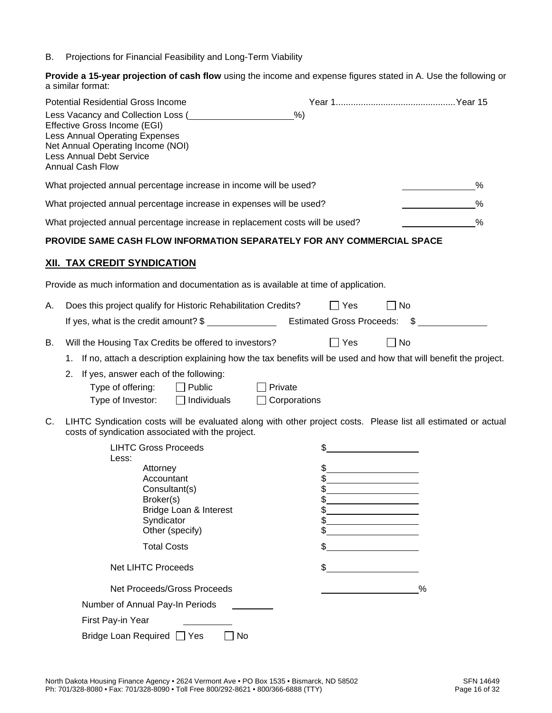B. Projections for Financial Feasibility and Long-Term Viability

**Provide a 15-year projection of cash flow** using the income and expense figures stated in A. Use the following or a similar format:

| Potential Residential Gross Income<br>Less Vacancy and Collection Loss (<br>Effective Gross Income (EGI)<br>Less Annual Operating Expenses<br>Net Annual Operating Income (NOI)<br><b>Less Annual Debt Service</b><br><b>Annual Cash Flow</b>                                                                                                                                                                                                                                 | %                                                                                                                                                   |
|-------------------------------------------------------------------------------------------------------------------------------------------------------------------------------------------------------------------------------------------------------------------------------------------------------------------------------------------------------------------------------------------------------------------------------------------------------------------------------|-----------------------------------------------------------------------------------------------------------------------------------------------------|
| What projected annual percentage increase in income will be used?                                                                                                                                                                                                                                                                                                                                                                                                             | %                                                                                                                                                   |
| What projected annual percentage increase in expenses will be used?                                                                                                                                                                                                                                                                                                                                                                                                           | %                                                                                                                                                   |
| What projected annual percentage increase in replacement costs will be used?                                                                                                                                                                                                                                                                                                                                                                                                  | %                                                                                                                                                   |
| PROVIDE SAME CASH FLOW INFORMATION SEPARATELY FOR ANY COMMERCIAL SPACE                                                                                                                                                                                                                                                                                                                                                                                                        |                                                                                                                                                     |
| <u>XII. TAX CREDIT SYNDICATION</u>                                                                                                                                                                                                                                                                                                                                                                                                                                            |                                                                                                                                                     |
| Provide as much information and documentation as is available at time of application.                                                                                                                                                                                                                                                                                                                                                                                         |                                                                                                                                                     |
| Does this project qualify for Historic Rehabilitation Credits?<br>Α.                                                                                                                                                                                                                                                                                                                                                                                                          | $\Box$ Yes<br>No                                                                                                                                    |
| В.<br>Will the Housing Tax Credits be offered to investors?<br>1.<br>If yes, answer each of the following:<br>2.<br>Type of offering:<br>$\Box$ Public<br>Private<br>Type of Investor:<br>Individuals                                                                                                                                                                                                                                                                         | $\Box$ Yes<br>No<br>If no, attach a description explaining how the tax benefits will be used and how that will benefit the project.<br>Corporations |
| C.<br>LIHTC Syndication costs will be evaluated along with other project costs. Please list all estimated or actual<br>costs of syndication associated with the project.<br><b>LIHTC Gross Proceeds</b><br>Less:<br>Attorney<br>Accountant<br>Consultant(s)<br>Broker(s)<br>Bridge Loan & Interest<br>Syndicator<br>Other (specify)<br><b>Total Costs</b><br><b>Net LIHTC Proceeds</b><br>Net Proceeds/Gross Proceeds<br>Number of Annual Pay-In Periods<br>First Pay-in Year | \$<br>\$<br>\$<br>\$<br>\$<br>\$<br>\$<br>\$<br>%                                                                                                   |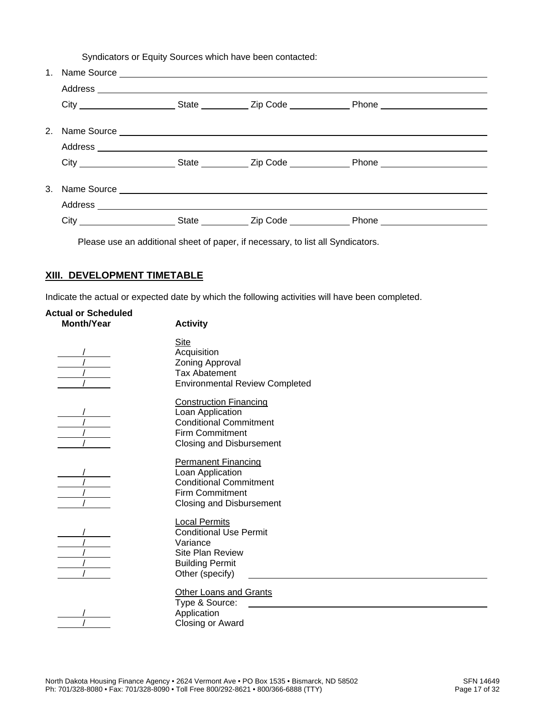Syndicators or Equity Sources which have been contacted:

| $1_{-}$ |  |  |
|---------|--|--|
|         |  |  |
|         |  |  |
| $2^{2}$ |  |  |
|         |  |  |
|         |  |  |
|         |  |  |
|         |  |  |
|         |  |  |

Please use an additional sheet of paper, if necessary, to list all Syndicators.

#### **XIII. DEVELOPMENT TIMETABLE**

Indicate the actual or expected date by which the following activities will have been completed.

| <b>Actual or Scheduled</b><br><b>Month/Year</b> | <b>Activity</b>                                                                                                                                 |
|-------------------------------------------------|-------------------------------------------------------------------------------------------------------------------------------------------------|
|                                                 | <b>Site</b><br>Acquisition<br>Zoning Approval<br><b>Tax Abatement</b><br><b>Environmental Review Completed</b>                                  |
|                                                 | <b>Construction Financing</b><br>Loan Application<br><b>Conditional Commitment</b><br><b>Firm Commitment</b><br><b>Closing and Disbursement</b> |
|                                                 | <b>Permanent Financing</b><br>Loan Application<br><b>Conditional Commitment</b><br>Firm Commitment<br><b>Closing and Disbursement</b>           |
|                                                 | <b>Local Permits</b><br><b>Conditional Use Permit</b><br>Variance<br>Site Plan Review<br><b>Building Permit</b><br>Other (specify)              |
|                                                 | Other Loans and Grants<br>Type & Source:<br>Application<br>Closing or Award                                                                     |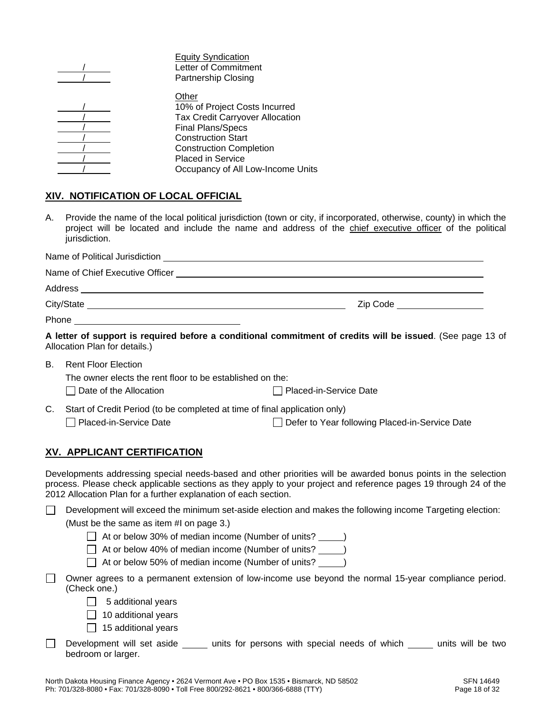|  | <b>Equity Syndication</b>              |
|--|----------------------------------------|
|  | Letter of Commitment                   |
|  | <b>Partnership Closing</b>             |
|  | Other                                  |
|  | 10% of Project Costs Incurred          |
|  | <b>Tax Credit Carryover Allocation</b> |
|  | <b>Final Plans/Specs</b>               |
|  | <b>Construction Start</b>              |
|  | <b>Construction Completion</b>         |
|  | <b>Placed in Service</b>               |
|  | Occupancy of All Low-Income Units      |
|  |                                        |

#### **XIV. NOTIFICATION OF LOCAL OFFICIAL**

A. Provide the name of the local political jurisdiction (town or city, if incorporated, otherwise, county) in which the project will be located and include the name and address of the chief executive officer of the political jurisdiction.

| Zip Code ___________________                                                                            |
|---------------------------------------------------------------------------------------------------------|
|                                                                                                         |
| A letter of support is required before a conditional commitment of credits will be issued. (See page 13 |

**A letter of support is required before a conditional commitment of credits will be issued**. (See page 13 of Allocation Plan for details.)

B. Rent Floor Election The owner elects the rent floor to be established on the:

| ו ווט טאווטו טוטטנט נווט וטווי ווטטו נט טט טטננטוווטווטט טוו נווט. |                          |
|--------------------------------------------------------------------|--------------------------|
| $\Box$ Date of the Allocation                                      | □ Placed-in-Service Date |

| C. Start of Credit Period (to be completed at time of final application only) |
|-------------------------------------------------------------------------------|
|                                                                               |

# Placed-in-Service Date Defer to Year following Placed-in-Service Date

#### **XV. APPLICANT CERTIFICATION**

Developments addressing special needs-based and other priorities will be awarded bonus points in the selection process. Please check applicable sections as they apply to your project and reference pages 19 through 24 of the 2012 Allocation Plan for a further explanation of each section.

Development will exceed the minimum set-aside election and makes the following income Targeting election:

(Must be the same as item #I on page 3.)

 $\Box$  At or below 30% of median income (Number of units?

- $\Box$  At or below 40% of median income (Number of units?
- $\Box$  At or below 50% of median income (Number of units? )
- Owner agrees to a permanent extension of low-income use beyond the normal 15-year compliance period. (Check one.)

 $\Box$  5 additional years

 $\Box$  10 additional years

- $\Box$  15 additional years
- Development will set aside  $\Box$  units for persons with special needs of which  $\Box$  units will be two bedroom or larger.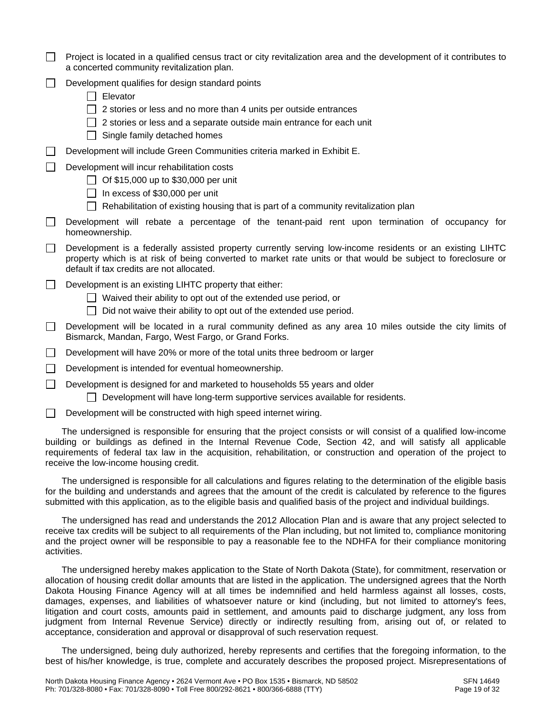|        | Project is located in a qualified census tract or city revitalization area and the development of it contributes to<br>a concerted community revitalization plan.                                                                                                                                                                                                                              |
|--------|------------------------------------------------------------------------------------------------------------------------------------------------------------------------------------------------------------------------------------------------------------------------------------------------------------------------------------------------------------------------------------------------|
|        | Development qualifies for design standard points<br>Elevator<br>2 stories or less and no more than 4 units per outside entrances<br>2 stories or less and a separate outside main entrance for each unit<br>$\Box$ Single family detached homes                                                                                                                                                |
|        | Development will include Green Communities criteria marked in Exhibit E.                                                                                                                                                                                                                                                                                                                       |
|        | Development will incur rehabilitation costs<br>Of \$15,000 up to \$30,000 per unit<br>In excess of \$30,000 per unit<br>$\mathbf{1}$<br>Rehabilitation of existing housing that is part of a community revitalization plan                                                                                                                                                                     |
|        | Development will rebate a percentage of the tenant-paid rent upon termination of occupancy for<br>homeownership.                                                                                                                                                                                                                                                                               |
|        | Development is a federally assisted property currently serving low-income residents or an existing LIHTC<br>property which is at risk of being converted to market rate units or that would be subject to foreclosure or<br>default if tax credits are not allocated.                                                                                                                          |
| $\Box$ | Development is an existing LIHTC property that either:<br>Waived their ability to opt out of the extended use period, or<br>Did not waive their ability to opt out of the extended use period.<br>$\mathbf{I}$                                                                                                                                                                                 |
| $\Box$ | Development will be located in a rural community defined as any area 10 miles outside the city limits of<br>Bismarck, Mandan, Fargo, West Fargo, or Grand Forks.                                                                                                                                                                                                                               |
| $\Box$ | Development will have 20% or more of the total units three bedroom or larger                                                                                                                                                                                                                                                                                                                   |
| $\Box$ | Development is intended for eventual homeownership.                                                                                                                                                                                                                                                                                                                                            |
| $\Box$ | Development is designed for and marketed to households 55 years and older<br>Development will have long-term supportive services available for residents.                                                                                                                                                                                                                                      |
|        | Development will be constructed with high speed internet wiring.                                                                                                                                                                                                                                                                                                                               |
|        | The undersigned is responsible for ensuring that the project consists or will consist of a qualified low-income<br>building or buildings as defined in the Internal Revenue Code, Section 42, and will satisfy all applicable<br>requirements of federal tax law in the acquisition, rehabilitation, or construction and operation of the project to<br>receive the low-income housing credit. |
|        | The undersigned is responsible for all calculations and figures relating to the determination of the eligible basis                                                                                                                                                                                                                                                                            |

for the building and understands and agrees that the amount of the credit is calculated by reference to the figures submitted with this application, as to the eligible basis and qualified basis of the project and individual buildings.

The undersigned has read and understands the 2012 Allocation Plan and is aware that any project selected to receive tax credits will be subject to all requirements of the Plan including, but not limited to, compliance monitoring and the project owner will be responsible to pay a reasonable fee to the NDHFA for their compliance monitoring activities.

The undersigned hereby makes application to the State of North Dakota (State), for commitment, reservation or allocation of housing credit dollar amounts that are listed in the application. The undersigned agrees that the North Dakota Housing Finance Agency will at all times be indemnified and held harmless against all losses, costs, damages, expenses, and liabilities of whatsoever nature or kind (including, but not limited to attorney's fees, litigation and court costs, amounts paid in settlement, and amounts paid to discharge judgment, any loss from judgment from Internal Revenue Service) directly or indirectly resulting from, arising out of, or related to acceptance, consideration and approval or disapproval of such reservation request.

The undersigned, being duly authorized, hereby represents and certifies that the foregoing information, to the best of his/her knowledge, is true, complete and accurately describes the proposed project. Misrepresentations of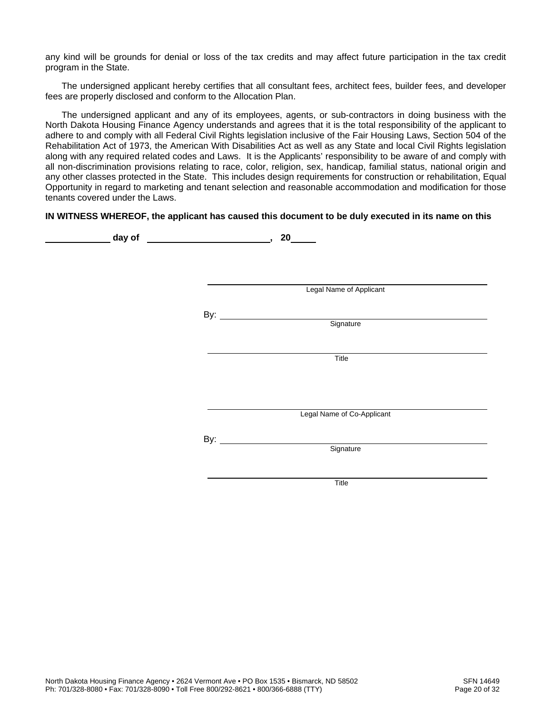any kind will be grounds for denial or loss of the tax credits and may affect future participation in the tax credit program in the State.

The undersigned applicant hereby certifies that all consultant fees, architect fees, builder fees, and developer fees are properly disclosed and conform to the Allocation Plan.

The undersigned applicant and any of its employees, agents, or sub-contractors in doing business with the North Dakota Housing Finance Agency understands and agrees that it is the total responsibility of the applicant to adhere to and comply with all Federal Civil Rights legislation inclusive of the Fair Housing Laws, Section 504 of the Rehabilitation Act of 1973, the American With Disabilities Act as well as any State and local Civil Rights legislation along with any required related codes and Laws. It is the Applicants' responsibility to be aware of and comply with all non-discrimination provisions relating to race, color, religion, sex, handicap, familial status, national origin and any other classes protected in the State. This includes design requirements for construction or rehabilitation, Equal Opportunity in regard to marketing and tenant selection and reasonable accommodation and modification for those tenants covered under the Laws.

#### **IN WITNESS WHEREOF, the applicant has caused this document to be duly executed in its name on this**

| day of | <u>and the contract of the contract of the contract of the contract of the contract of the contract of the contract of the contract of the contract of the contract of the contract of the contract of the contract of the contr</u> | 20                         |
|--------|--------------------------------------------------------------------------------------------------------------------------------------------------------------------------------------------------------------------------------------|----------------------------|
|        |                                                                                                                                                                                                                                      |                            |
|        |                                                                                                                                                                                                                                      |                            |
|        |                                                                                                                                                                                                                                      |                            |
|        |                                                                                                                                                                                                                                      | Legal Name of Applicant    |
|        |                                                                                                                                                                                                                                      |                            |
|        |                                                                                                                                                                                                                                      | By: Signature              |
|        |                                                                                                                                                                                                                                      |                            |
|        |                                                                                                                                                                                                                                      | Title                      |
|        |                                                                                                                                                                                                                                      |                            |
|        |                                                                                                                                                                                                                                      |                            |
|        |                                                                                                                                                                                                                                      |                            |
|        |                                                                                                                                                                                                                                      | Legal Name of Co-Applicant |
|        |                                                                                                                                                                                                                                      |                            |
|        |                                                                                                                                                                                                                                      |                            |
|        |                                                                                                                                                                                                                                      | Signature                  |
|        |                                                                                                                                                                                                                                      |                            |
|        |                                                                                                                                                                                                                                      | Title                      |
|        |                                                                                                                                                                                                                                      |                            |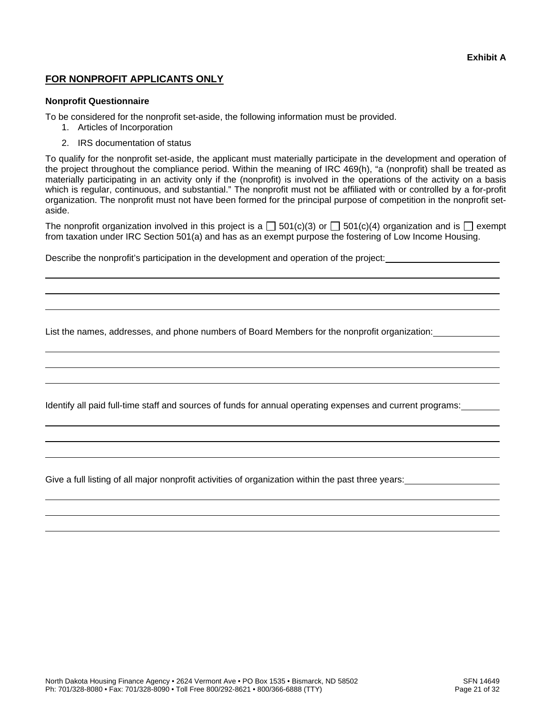#### **FOR NONPROFIT APPLICANTS ONLY**

#### **Nonprofit Questionnaire**

 

 

 

 

To be considered for the nonprofit set-aside, the following information must be provided.

- 1. Articles of Incorporation
- 2. IRS documentation of status

To qualify for the nonprofit set-aside, the applicant must materially participate in the development and operation of the project throughout the compliance period. Within the meaning of IRC 469(h), "a (nonprofit) shall be treated as materially participating in an activity only if the (nonprofit) is involved in the operations of the activity on a basis which is regular, continuous, and substantial." The nonprofit must not be affiliated with or controlled by a for-profit organization. The nonprofit must not have been formed for the principal purpose of competition in the nonprofit setaside.

The nonprofit organization involved in this project is a  $\Box$  501(c)(3) or  $\Box$  501(c)(4) organization and is  $\Box$  exempt from taxation under IRC Section 501(a) and has as an exempt purpose the fostering of Low Income Housing.

Describe the nonprofit's participation in the development and operation of the project:

List the names, addresses, and phone numbers of Board Members for the nonprofit organization:

Identify all paid full-time staff and sources of funds for annual operating expenses and current programs:

Give a full listing of all major nonprofit activities of organization within the past three years: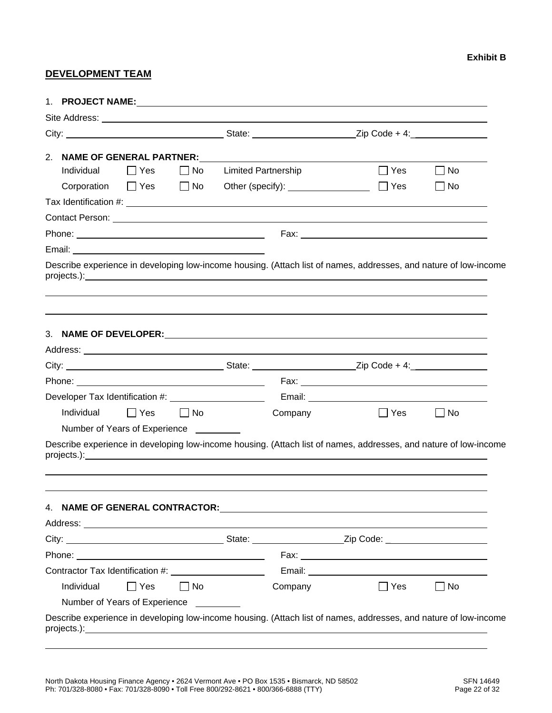#### **DEVELOPMENT TEAM**

| 2.         | <b>NAME OF GENERAL PARTNER:</b>                                                                                  |           |                            |            |           |
|------------|------------------------------------------------------------------------------------------------------------------|-----------|----------------------------|------------|-----------|
| Individual | $\Box$ Yes                                                                                                       | $\Box$ No | <b>Limited Partnership</b> | $\Box$ Yes | No        |
|            | Corporation $\Box$ Yes $\Box$ No                                                                                 |           |                            | $\Box$ Yes | No.       |
|            |                                                                                                                  |           |                            |            |           |
|            |                                                                                                                  |           |                            |            |           |
|            |                                                                                                                  |           |                            |            |           |
|            |                                                                                                                  |           |                            |            |           |
|            | Describe experience in developing low-income housing. (Attach list of names, addresses, and nature of low-income |           |                            |            |           |
|            |                                                                                                                  |           |                            |            |           |
|            |                                                                                                                  |           |                            |            |           |
|            |                                                                                                                  |           |                            |            |           |
|            | Developer Tax Identification #: ________________________                                                         |           |                            |            |           |
| Individual | Yes                                                                                                              | $\Box$ No | Company                    | $\Box$ Yes | l INo     |
|            | Number of Years of Experience _________                                                                          |           |                            |            |           |
|            | Describe experience in developing low-income housing. (Attach list of names, addresses, and nature of low-income |           |                            |            |           |
|            |                                                                                                                  |           |                            |            |           |
|            |                                                                                                                  |           |                            |            |           |
|            |                                                                                                                  |           |                            |            |           |
|            |                                                                                                                  |           |                            |            |           |
| Individual | $\Box$ Yes                                                                                                       | $\Box$ No | Company                    | $\Box$ Yes | $\Box$ No |
|            | Number of Years of Experience                                                                                    |           |                            |            |           |
|            | Describe experience in developing low-income housing. (Attach list of names, addresses, and nature of low-income |           |                            |            |           |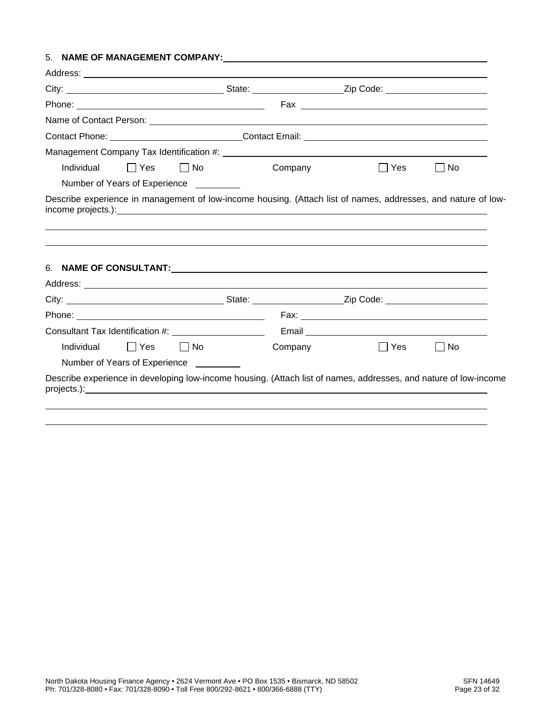#### 5. **NAME OF MANAGEMENT COMPANY:**

| $\Box$ Yes<br>I No<br>Individual                                                                                                                                                                                                | Company | ∣ Yes | No |
|---------------------------------------------------------------------------------------------------------------------------------------------------------------------------------------------------------------------------------|---------|-------|----|
| Number of Years of Experience _________                                                                                                                                                                                         |         |       |    |
| Describe experience in management of low-income housing. (Attach list of names, addresses, and nature of low-<br>income projects.): example and the contract of the contract of the contract of the contract of the contract of |         |       |    |
|                                                                                                                                                                                                                                 |         |       |    |
|                                                                                                                                                                                                                                 |         |       |    |
|                                                                                                                                                                                                                                 |         |       |    |
|                                                                                                                                                                                                                                 |         |       |    |
|                                                                                                                                                                                                                                 |         |       |    |
|                                                                                                                                                                                                                                 |         |       |    |
|                                                                                                                                                                                                                                 |         |       |    |
|                                                                                                                                                                                                                                 |         |       |    |
| Individual<br>l Yes<br>  No                                                                                                                                                                                                     | Company | Yes   | No |
| Consultant Tax Identification #: ______________________<br>Number of Years of Experience _________                                                                                                                              |         |       |    |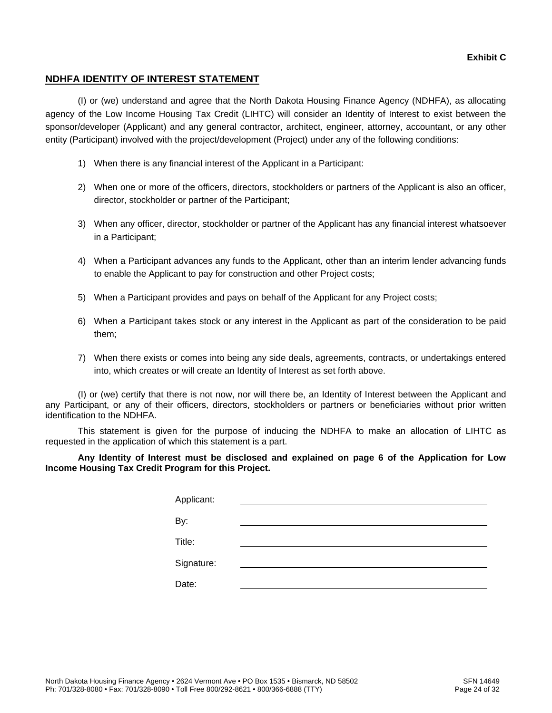#### **NDHFA IDENTITY OF INTEREST STATEMENT**

(I) or (we) understand and agree that the North Dakota Housing Finance Agency (NDHFA), as allocating agency of the Low Income Housing Tax Credit (LIHTC) will consider an Identity of Interest to exist between the sponsor/developer (Applicant) and any general contractor, architect, engineer, attorney, accountant, or any other entity (Participant) involved with the project/development (Project) under any of the following conditions:

- 1) When there is any financial interest of the Applicant in a Participant:
- 2) When one or more of the officers, directors, stockholders or partners of the Applicant is also an officer, director, stockholder or partner of the Participant;
- 3) When any officer, director, stockholder or partner of the Applicant has any financial interest whatsoever in a Participant;
- 4) When a Participant advances any funds to the Applicant, other than an interim lender advancing funds to enable the Applicant to pay for construction and other Project costs;
- 5) When a Participant provides and pays on behalf of the Applicant for any Project costs;
- 6) When a Participant takes stock or any interest in the Applicant as part of the consideration to be paid them;
- 7) When there exists or comes into being any side deals, agreements, contracts, or undertakings entered into, which creates or will create an Identity of Interest as set forth above.

(I) or (we) certify that there is not now, nor will there be, an Identity of Interest between the Applicant and any Participant, or any of their officers, directors, stockholders or partners or beneficiaries without prior written identification to the NDHFA.

This statement is given for the purpose of inducing the NDHFA to make an allocation of LIHTC as requested in the application of which this statement is a part.

**Any Identity of Interest must be disclosed and explained on page 6 of the Application for Low Income Housing Tax Credit Program for this Project.** 

| Applicant: |  |
|------------|--|
| By:        |  |
| Title:     |  |
| Signature: |  |
|            |  |
| Date:      |  |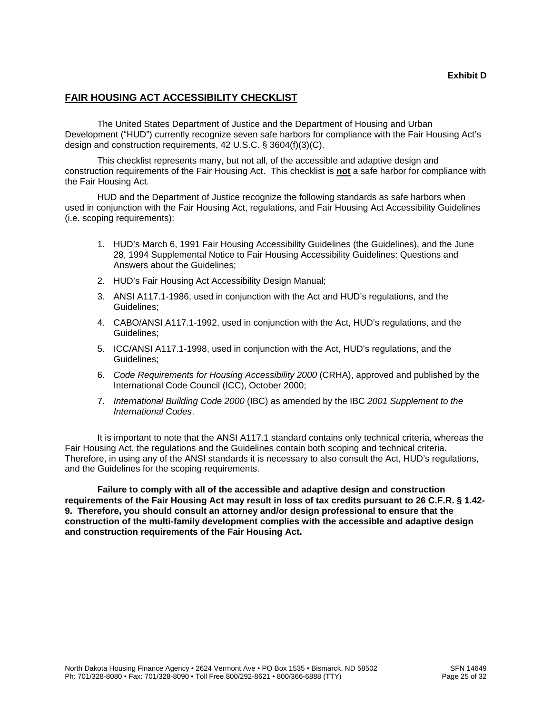#### **FAIR HOUSING ACT ACCESSIBILITY CHECKLIST**

The United States Department of Justice and the Department of Housing and Urban Development ("HUD") currently recognize seven safe harbors for compliance with the Fair Housing Act's design and construction requirements, 42 U.S.C. § 3604(f)(3)(C).

This checklist represents many, but not all, of the accessible and adaptive design and construction requirements of the Fair Housing Act. This checklist is **not** a safe harbor for compliance with the Fair Housing Act.

HUD and the Department of Justice recognize the following standards as safe harbors when used in conjunction with the Fair Housing Act, regulations, and Fair Housing Act Accessibility Guidelines (i.e. scoping requirements):

- 1. HUD's March 6, 1991 Fair Housing Accessibility Guidelines (the Guidelines), and the June 28, 1994 Supplemental Notice to Fair Housing Accessibility Guidelines: Questions and Answers about the Guidelines;
- 2. HUD's Fair Housing Act Accessibility Design Manual;
- 3. ANSI A117.1-1986, used in conjunction with the Act and HUD's regulations, and the Guidelines;
- 4. CABO/ANSI A117.1-1992, used in conjunction with the Act, HUD's regulations, and the Guidelines;
- 5. ICC/ANSI A117.1-1998, used in conjunction with the Act, HUD's regulations, and the Guidelines;
- 6. *Code Requirements for Housing Accessibility 2000* (CRHA), approved and published by the International Code Council (ICC), October 2000;
- 7. *International Building Code 2000* (IBC) as amended by the IBC *2001 Supplement to the International Codes*.

It is important to note that the ANSI A117.1 standard contains only technical criteria, whereas the Fair Housing Act, the regulations and the Guidelines contain both scoping and technical criteria. Therefore, in using any of the ANSI standards it is necessary to also consult the Act, HUD's regulations, and the Guidelines for the scoping requirements.

**Failure to comply with all of the accessible and adaptive design and construction requirements of the Fair Housing Act may result in loss of tax credits pursuant to 26 C.F.R. § 1.42- 9. Therefore, you should consult an attorney and/or design professional to ensure that the construction of the multi-family development complies with the accessible and adaptive design and construction requirements of the Fair Housing Act.**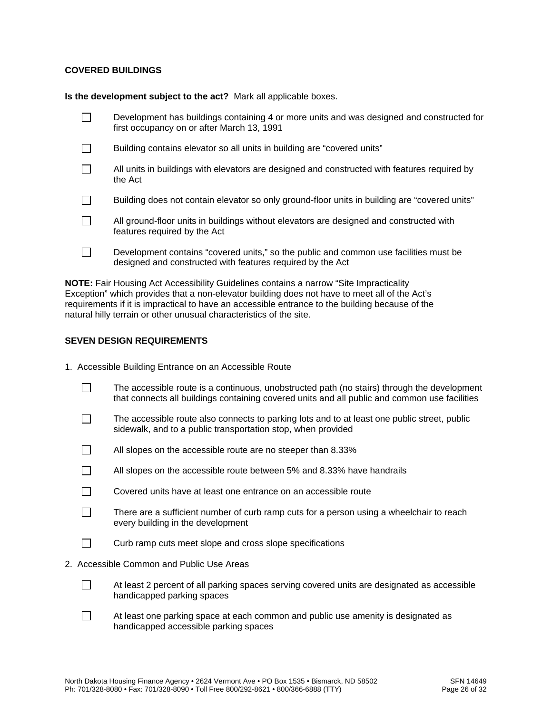#### **COVERED BUILDINGS**

**Is the development subject to the act?** Mark all applicable boxes.

| Development has buildings containing 4 or more units and was designed and constructed for<br>first occupancy on or after March 13, 1991             |
|-----------------------------------------------------------------------------------------------------------------------------------------------------|
| Building contains elevator so all units in building are "covered units"                                                                             |
| All units in buildings with elevators are designed and constructed with features required by<br>the Act                                             |
| Building does not contain elevator so only ground-floor units in building are "covered units"                                                       |
| All ground-floor units in buildings without elevators are designed and constructed with<br>features required by the Act                             |
| Development contains "covered units," so the public and common use facilities must be<br>designed and constructed with features required by the Act |

**NOTE:** Fair Housing Act Accessibility Guidelines contains a narrow "Site Impracticality Exception" which provides that a non-elevator building does not have to meet all of the Act's requirements if it is impractical to have an accessible entrance to the building because of the natural hilly terrain or other unusual characteristics of the site.

#### **SEVEN DESIGN REQUIREMENTS**

| 1. Accessible Building Entrance on an Accessible Route |  |  |  |  |  |  |  |
|--------------------------------------------------------|--|--|--|--|--|--|--|
|--------------------------------------------------------|--|--|--|--|--|--|--|

- $\Box$  The accessible route is a continuous, unobstructed path (no stairs) through the development that connects all buildings containing covered units and all public and common use facilities
- $\Box$  The accessible route also connects to parking lots and to at least one public street, public sidewalk, and to a public transportation stop, when provided
- $\Box$  All slopes on the accessible route are no steeper than 8.33%
- $\Box$  All slopes on the accessible route between 5% and 8.33% have handrails
- $\Box$  Covered units have at least one entrance on an accessible route
- $\Box$  There are a sufficient number of curb ramp cuts for a person using a wheelchair to reach every building in the development
- $\Box$  Curb ramp cuts meet slope and cross slope specifications
- 2. Accessible Common and Public Use Areas
	- $\Box$  At least 2 percent of all parking spaces serving covered units are designated as accessible handicapped parking spaces
	- $\Box$  At least one parking space at each common and public use amenity is designated as handicapped accessible parking spaces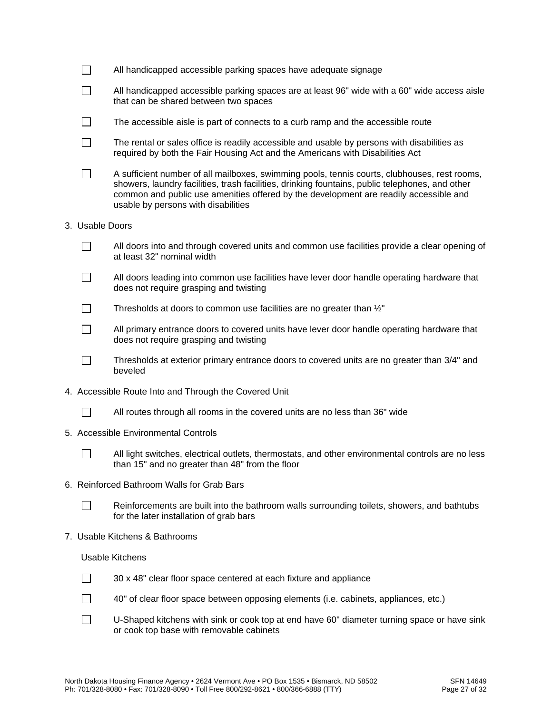| $\Box$                   | All handicapped accessible parking spaces have adequate signage                                                                                                                                                                                                                                                                 |
|--------------------------|---------------------------------------------------------------------------------------------------------------------------------------------------------------------------------------------------------------------------------------------------------------------------------------------------------------------------------|
| $\overline{\phantom{a}}$ | All handicapped accessible parking spaces are at least 96" wide with a 60" wide access aisle<br>that can be shared between two spaces                                                                                                                                                                                           |
| $\Box$                   | The accessible aisle is part of connects to a curb ramp and the accessible route                                                                                                                                                                                                                                                |
| $\Box$                   | The rental or sales office is readily accessible and usable by persons with disabilities as<br>required by both the Fair Housing Act and the Americans with Disabilities Act                                                                                                                                                    |
|                          | A sufficient number of all mailboxes, swimming pools, tennis courts, clubhouses, rest rooms,<br>showers, laundry facilities, trash facilities, drinking fountains, public telephones, and other<br>common and public use amenities offered by the development are readily accessible and<br>usable by persons with disabilities |
| 3. Usable Doors          |                                                                                                                                                                                                                                                                                                                                 |
|                          | All doors into and through covered units and common use facilities provide a clear opening of<br>at least 32" nominal width                                                                                                                                                                                                     |
| $\overline{\phantom{0}}$ | All doors leading into common use facilities have lever door handle operating hardware that<br>does not require grasping and twisting                                                                                                                                                                                           |
|                          | Thresholds at doors to common use facilities are no greater than 1/2"                                                                                                                                                                                                                                                           |
| $\Box$                   | All primary entrance doors to covered units have lever door handle operating hardware that<br>does not require grasping and twisting                                                                                                                                                                                            |
|                          | Thresholds at exterior primary entrance doors to covered units are no greater than 3/4" and<br>beveled                                                                                                                                                                                                                          |
|                          | 4. Accessible Route Into and Through the Covered Unit                                                                                                                                                                                                                                                                           |
|                          | All routes through all rooms in the covered units are no less than 36" wide                                                                                                                                                                                                                                                     |
|                          | 5. Accessible Environmental Controls                                                                                                                                                                                                                                                                                            |
|                          | All light switches, electrical outlets, thermostats, and other environmental controls are no less<br>than 15" and no greater than 48" from the floor                                                                                                                                                                            |
|                          | 6. Reinforced Bathroom Walls for Grab Bars                                                                                                                                                                                                                                                                                      |
|                          | Reinforcements are built into the bathroom walls surrounding toilets, showers, and bathtubs<br>for the later installation of grab bars                                                                                                                                                                                          |
|                          | 7. Usable Kitchens & Bathrooms                                                                                                                                                                                                                                                                                                  |
|                          | <b>Usable Kitchens</b>                                                                                                                                                                                                                                                                                                          |
|                          | 30 x 48" clear floor space centered at each fixture and appliance                                                                                                                                                                                                                                                               |
|                          | 40" of clear floor space between opposing elements (i.e. cabinets, appliances, etc.)                                                                                                                                                                                                                                            |
|                          | U-Shaped kitchens with sink or cook top at end have 60" diameter turning space or have sink<br>or cook top base with removable cabinets                                                                                                                                                                                         |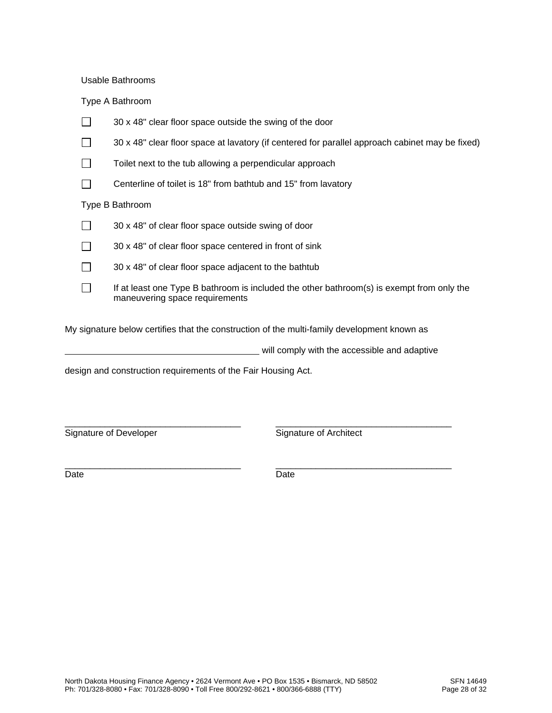Usable Bathrooms

Type A Bathroom

|                 | 30 x 48" clear floor space outside the swing of the door                                                                    |  |  |  |
|-----------------|-----------------------------------------------------------------------------------------------------------------------------|--|--|--|
|                 | 30 x 48" clear floor space at lavatory (if centered for parallel approach cabinet may be fixed)                             |  |  |  |
|                 | Toilet next to the tub allowing a perpendicular approach                                                                    |  |  |  |
|                 | Centerline of toilet is 18" from bathtub and 15" from lavatory                                                              |  |  |  |
| Type B Bathroom |                                                                                                                             |  |  |  |
|                 | 30 x 48" of clear floor space outside swing of door                                                                         |  |  |  |
|                 | 30 x 48" of clear floor space centered in front of sink                                                                     |  |  |  |
|                 | 30 x 48" of clear floor space adjacent to the bathtub                                                                       |  |  |  |
|                 | If at least one Type B bathroom is included the other bathroom(s) is exempt from only the<br>maneuvering space requirements |  |  |  |

My signature below certifies that the construction of the multi-family development known as

| will comply with the accessible and adaptive |  |
|----------------------------------------------|--|
|                                              |  |

\_\_\_\_\_\_\_\_\_\_\_\_\_\_\_\_\_\_\_\_\_\_\_\_\_\_\_\_\_\_\_\_\_\_\_ \_\_\_\_\_\_\_\_\_\_\_\_\_\_\_\_\_\_\_\_\_\_\_\_\_\_\_\_\_\_\_\_\_\_\_

design and construction requirements of the Fair Housing Act.

Signature of Developer Signature of Architect

\_\_\_\_\_\_\_\_\_\_\_\_\_\_\_\_\_\_\_\_\_\_\_\_\_\_\_\_\_\_\_\_\_\_\_ \_\_\_\_\_\_\_\_\_\_\_\_\_\_\_\_\_\_\_\_\_\_\_\_\_\_\_\_\_\_\_\_\_\_\_ Date **Date** Date **Date**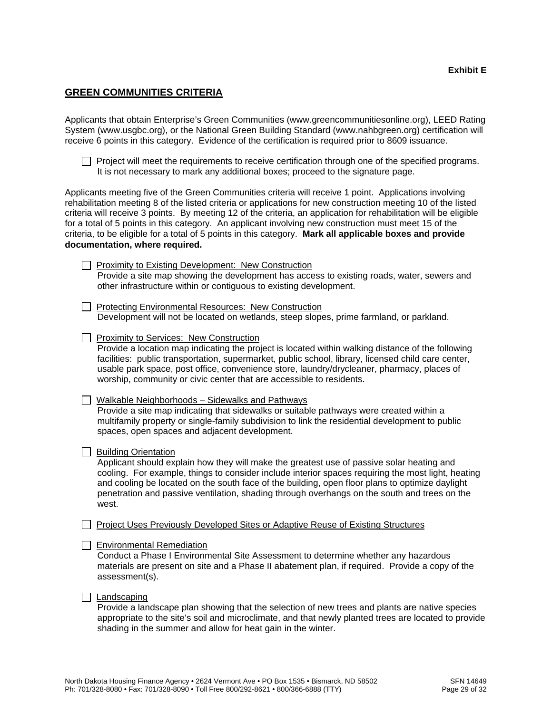#### **GREEN COMMUNITIES CRITERIA**

Applicants that obtain Enterprise's Green Communities (www.greencommunitiesonline.org), LEED Rating System (www.usgbc.org), or the National Green Building Standard (www.nahbgreen.org) certification will receive 6 points in this category. Evidence of the certification is required prior to 8609 issuance.

| $\Box$ Project will meet the requirements to receive certification through one of the specified programs. |  |
|-----------------------------------------------------------------------------------------------------------|--|
| It is not necessary to mark any additional boxes; proceed to the signature page.                          |  |

Applicants meeting five of the Green Communities criteria will receive 1 point. Applications involving rehabilitation meeting 8 of the listed criteria or applications for new construction meeting 10 of the listed criteria will receive 3 points. By meeting 12 of the criteria, an application for rehabilitation will be eligible for a total of 5 points in this category. An applicant involving new construction must meet 15 of the criteria, to be eligible for a total of 5 points in this category. **Mark all applicable boxes and provide documentation, where required.**

| Proximity to Existing Development: New Construction                                        |
|--------------------------------------------------------------------------------------------|
| Provide a site map showing the development has access to existing roads, water, sewers and |
| other infrastructure within or contiguous to existing development.                         |

□ Protecting Environmental Resources: New Construction Development will not be located on wetlands, steep slopes, prime farmland, or parkland.

**Proximity to Services: New Construction** 

Provide a location map indicating the project is located within walking distance of the following facilities: public transportation, supermarket, public school, library, licensed child care center, usable park space, post office, convenience store, laundry/drycleaner, pharmacy, places of worship, community or civic center that are accessible to residents.

Walkable Neighborhoods - Sidewalks and Pathways Provide a site map indicating that sidewalks or suitable pathways were created within a multifamily property or single-family subdivision to link the residential development to public spaces, open spaces and adjacent development.

 $\Box$  Building Orientation

Applicant should explain how they will make the greatest use of passive solar heating and cooling. For example, things to consider include interior spaces requiring the most light, heating and cooling be located on the south face of the building, open floor plans to optimize daylight penetration and passive ventilation, shading through overhangs on the south and trees on the west.

□ Project Uses Previously Developed Sites or Adaptive Reuse of Existing Structures

#### $\Box$  Environmental Remediation

Conduct a Phase I Environmental Site Assessment to determine whether any hazardous materials are present on site and a Phase II abatement plan, if required. Provide a copy of the assessment(s).

#### $\Box$  Landscaping

Provide a landscape plan showing that the selection of new trees and plants are native species appropriate to the site's soil and microclimate, and that newly planted trees are located to provide shading in the summer and allow for heat gain in the winter.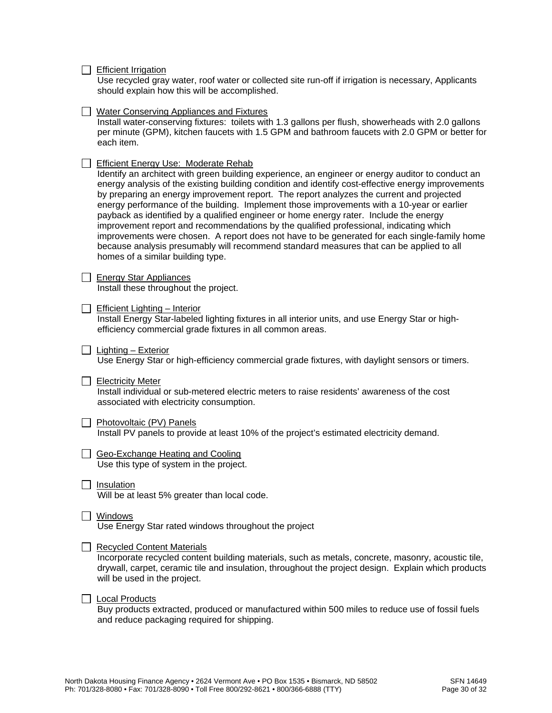$\Box$  Efficient Irrigation

**Water Conserving Appliances and Fixtures** 

Use recycled gray water, roof water or collected site run-off if irrigation is necessary, Applicants should explain how this will be accomplished.

|        | Install water-conserving fixtures: toilets with 1.3 gallons per flush, showerheads with 2.0 gallons<br>per minute (GPM), kitchen faucets with 1.5 GPM and bathroom faucets with 2.0 GPM or better for<br>each item.                                                                                                                                                                                                                                                                                                                                                                                                                                                                                                                                                                                                                                           |
|--------|---------------------------------------------------------------------------------------------------------------------------------------------------------------------------------------------------------------------------------------------------------------------------------------------------------------------------------------------------------------------------------------------------------------------------------------------------------------------------------------------------------------------------------------------------------------------------------------------------------------------------------------------------------------------------------------------------------------------------------------------------------------------------------------------------------------------------------------------------------------|
|        | Efficient Energy Use: Moderate Rehab<br>Identify an architect with green building experience, an engineer or energy auditor to conduct an<br>energy analysis of the existing building condition and identify cost-effective energy improvements<br>by preparing an energy improvement report. The report analyzes the current and projected<br>energy performance of the building. Implement those improvements with a 10-year or earlier<br>payback as identified by a qualified engineer or home energy rater. Include the energy<br>improvement report and recommendations by the qualified professional, indicating which<br>improvements were chosen. A report does not have to be generated for each single-family home<br>because analysis presumably will recommend standard measures that can be applied to all<br>homes of a similar building type. |
|        | <b>Energy Star Appliances</b><br>Install these throughout the project.                                                                                                                                                                                                                                                                                                                                                                                                                                                                                                                                                                                                                                                                                                                                                                                        |
|        | <b>Efficient Lighting - Interior</b><br>Install Energy Star-labeled lighting fixtures in all interior units, and use Energy Star or high-<br>efficiency commercial grade fixtures in all common areas.                                                                                                                                                                                                                                                                                                                                                                                                                                                                                                                                                                                                                                                        |
|        | Lighting - Exterior<br>Use Energy Star or high-efficiency commercial grade fixtures, with daylight sensors or timers.                                                                                                                                                                                                                                                                                                                                                                                                                                                                                                                                                                                                                                                                                                                                         |
|        | <b>Electricity Meter</b><br>Install individual or sub-metered electric meters to raise residents' awareness of the cost<br>associated with electricity consumption.                                                                                                                                                                                                                                                                                                                                                                                                                                                                                                                                                                                                                                                                                           |
| $\Box$ | Photovoltaic (PV) Panels<br>Install PV panels to provide at least 10% of the project's estimated electricity demand.                                                                                                                                                                                                                                                                                                                                                                                                                                                                                                                                                                                                                                                                                                                                          |
|        | Geo-Exchange Heating and Cooling<br>Use this type of system in the project.                                                                                                                                                                                                                                                                                                                                                                                                                                                                                                                                                                                                                                                                                                                                                                                   |
|        | $\Box$ Insulation<br>Will be at least 5% greater than local code.                                                                                                                                                                                                                                                                                                                                                                                                                                                                                                                                                                                                                                                                                                                                                                                             |
|        | Windows<br>Use Energy Star rated windows throughout the project                                                                                                                                                                                                                                                                                                                                                                                                                                                                                                                                                                                                                                                                                                                                                                                               |
|        | <b>Recycled Content Materials</b><br>Incorporate recycled content building materials, such as metals, concrete, masonry, acoustic tile,<br>drywall, carpet, ceramic tile and insulation, throughout the project design. Explain which products<br>will be used in the project.                                                                                                                                                                                                                                                                                                                                                                                                                                                                                                                                                                                |
|        | <b>Local Products</b><br>Buy products extracted, produced or manufactured within 500 miles to reduce use of fossil fuels                                                                                                                                                                                                                                                                                                                                                                                                                                                                                                                                                                                                                                                                                                                                      |

Buy products extracted, produced or manufactured within 500 miles to reduce use of fossil fuels and reduce packaging required for shipping.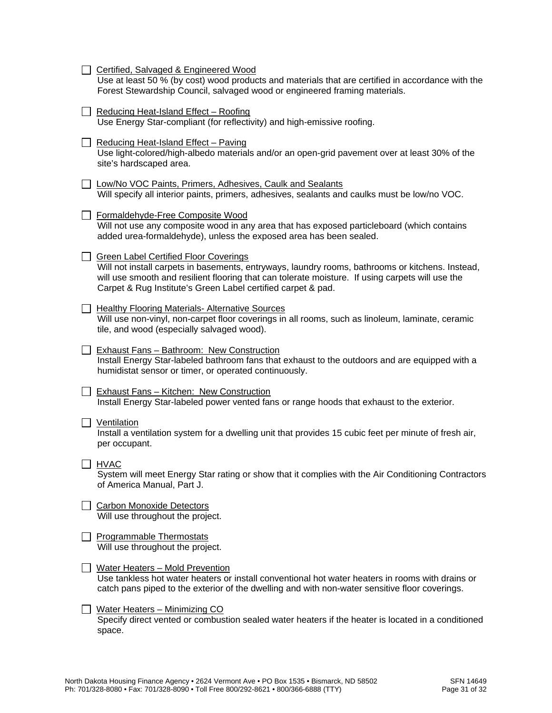|  | Certified, Salvaged & Engineered Wood<br>Use at least 50 % (by cost) wood products and materials that are certified in accordance with the<br>Forest Stewardship Council, salvaged wood or engineered framing materials.                                                                                             |
|--|----------------------------------------------------------------------------------------------------------------------------------------------------------------------------------------------------------------------------------------------------------------------------------------------------------------------|
|  | Reducing Heat-Island Effect - Roofing<br>Use Energy Star-compliant (for reflectivity) and high-emissive roofing.                                                                                                                                                                                                     |
|  | Reducing Heat-Island Effect - Paving<br>Use light-colored/high-albedo materials and/or an open-grid pavement over at least 30% of the<br>site's hardscaped area.                                                                                                                                                     |
|  | J Low/No VOC Paints, Primers, Adhesives, Caulk and Sealants<br>Will specify all interior paints, primers, adhesives, sealants and caulks must be low/no VOC.                                                                                                                                                         |
|  | Formaldehyde-Free Composite Wood<br>Will not use any composite wood in any area that has exposed particleboard (which contains<br>added urea-formaldehyde), unless the exposed area has been sealed.                                                                                                                 |
|  | <b>Green Label Certified Floor Coverings</b><br>Will not install carpets in basements, entryways, laundry rooms, bathrooms or kitchens. Instead,<br>will use smooth and resilient flooring that can tolerate moisture. If using carpets will use the<br>Carpet & Rug Institute's Green Label certified carpet & pad. |
|  | <b>Healthy Flooring Materials- Alternative Sources</b><br>Will use non-vinyl, non-carpet floor coverings in all rooms, such as linoleum, laminate, ceramic<br>tile, and wood (especially salvaged wood).                                                                                                             |
|  | <b>Exhaust Fans - Bathroom: New Construction</b><br>Install Energy Star-labeled bathroom fans that exhaust to the outdoors and are equipped with a<br>humidistat sensor or timer, or operated continuously.                                                                                                          |
|  | <b>Exhaust Fans - Kitchen: New Construction</b><br>Install Energy Star-labeled power vented fans or range hoods that exhaust to the exterior.                                                                                                                                                                        |
|  | Ventilation<br>Install a ventilation system for a dwelling unit that provides 15 cubic feet per minute of fresh air,<br>per occupant.                                                                                                                                                                                |
|  | <u>_ HVA</u> C<br>System will meet Energy Star rating or show that it complies with the Air Conditioning Contractors<br>of America Manual, Part J.                                                                                                                                                                   |
|  | <b>Carbon Monoxide Detectors</b><br>Will use throughout the project.                                                                                                                                                                                                                                                 |
|  | <b>Programmable Thermostats</b><br>Will use throughout the project.                                                                                                                                                                                                                                                  |
|  | Water Heaters - Mold Prevention<br>Use tankless hot water heaters or install conventional hot water heaters in rooms with drains or<br>catch pans piped to the exterior of the dwelling and with non-water sensitive floor coverings.                                                                                |
|  | <u> Water Heaters - Minimizing CO</u><br>Specify direct vented or combustion sealed water heaters if the heater is located in a conditioned<br>space.                                                                                                                                                                |